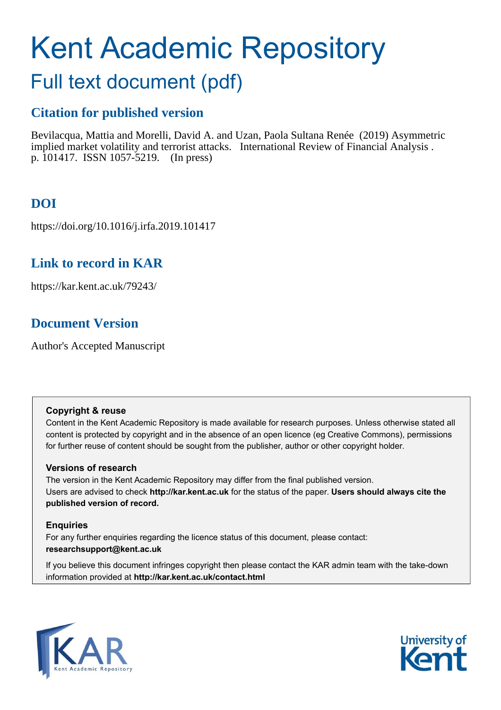# Kent Academic Repository

## Full text document (pdf)

## **Citation for published version**

Bevilacqua, Mattia and Morelli, David A. and Uzan, Paola Sultana Renée (2019) Asymmetric implied market volatility and terrorist attacks. International Review of Financial Analysis . p. 101417. ISSN 1057-5219. (In press)

## **DOI**

https://doi.org/10.1016/j.irfa.2019.101417

## **Link to record in KAR**

https://kar.kent.ac.uk/79243/

## **Document Version**

Author's Accepted Manuscript

#### **Copyright & reuse**

Content in the Kent Academic Repository is made available for research purposes. Unless otherwise stated all content is protected by copyright and in the absence of an open licence (eg Creative Commons), permissions for further reuse of content should be sought from the publisher, author or other copyright holder.

#### **Versions of research**

The version in the Kent Academic Repository may differ from the final published version. Users are advised to check **http://kar.kent.ac.uk** for the status of the paper. **Users should always cite the published version of record.**

#### **Enquiries**

For any further enquiries regarding the licence status of this document, please contact: **researchsupport@kent.ac.uk**

If you believe this document infringes copyright then please contact the KAR admin team with the take-down information provided at **http://kar.kent.ac.uk/contact.html**



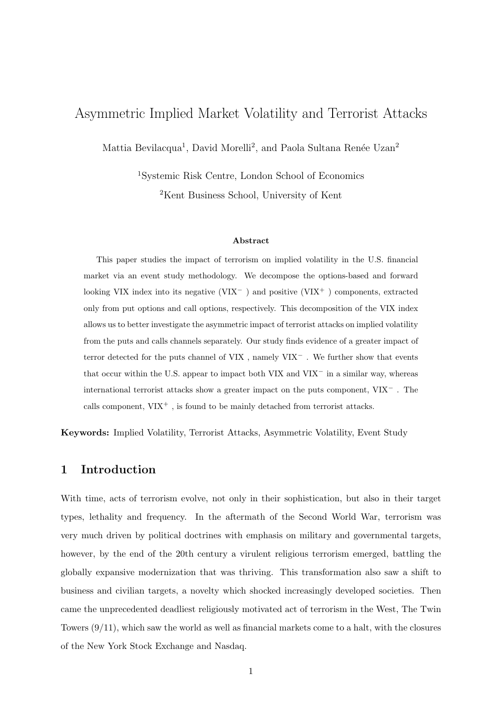## Asymmetric Implied Market Volatility and Terrorist Attacks

Mattia Bevilacqua<sup>1</sup>, David Morelli<sup>2</sup>, and Paola Sultana Renée Uzan<sup>2</sup>

<sup>1</sup>Systemic Risk Centre, London School of Economics <sup>2</sup>Kent Business School, University of Kent

#### Abstract

This paper studies the impact of terrorism on implied volatility in the U.S. financial market via an event study methodology. We decompose the options-based and forward looking VIX index into its negative (VIX<sup> $-$ </sup>) and positive (VIX<sup> $+$ </sup>) components, extracted only from put options and call options, respectively. This decomposition of the VIX index allows us to better investigate the asymmetric impact of terrorist attacks on implied volatility from the puts and calls channels separately. Our study finds evidence of a greater impact of terror detected for the puts channel of VIX , namely VIX<sup>−</sup> . We further show that events that occur within the U.S. appear to impact both VIX and VIX<sup>−</sup> in a similar way, whereas international terrorist attacks show a greater impact on the puts component, VIX<sup>−</sup> . The calls component,  $VIX^+$ , is found to be mainly detached from terrorist attacks.

Keywords: Implied Volatility, Terrorist Attacks, Asymmetric Volatility, Event Study

#### 1 Introduction

With time, acts of terrorism evolve, not only in their sophistication, but also in their target types, lethality and frequency. In the aftermath of the Second World War, terrorism was very much driven by political doctrines with emphasis on military and governmental targets, however, by the end of the 20th century a virulent religious terrorism emerged, battling the globally expansive modernization that was thriving. This transformation also saw a shift to business and civilian targets, a novelty which shocked increasingly developed societies. Then came the unprecedented deadliest religiously motivated act of terrorism in the West, The Twin Towers (9/11), which saw the world as well as financial markets come to a halt, with the closures of the New York Stock Exchange and Nasdaq.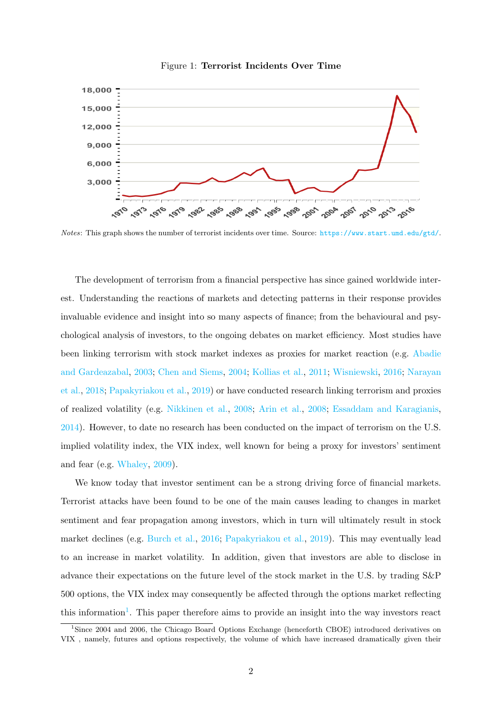



Notes: This graph shows the number of terrorist incidents over time. Source: <https://www.start.umd.edu/gtd/>.

The development of terrorism from a financial perspective has since gained worldwide interest. Understanding the reactions of markets and detecting patterns in their response provides invaluable evidence and insight into so many aspects of finance; from the behavioural and psychological analysis of investors, to the ongoing debates on market efficiency. Most studies have been linking terrorism with stock market indexes as proxies for market reaction (e.g. Abadie and Gardeazabal, 2003; Chen and Siems, 2004; Kollias et al., 2011; Wisniewski, 2016; Narayan et al., 2018; Papakyriakou et al., 2019) or have conducted research linking terrorism and proxies of realized volatility (e.g. Nikkinen et al., 2008; Arin et al., 2008; Essaddam and Karagianis, 2014). However, to date no research has been conducted on the impact of terrorism on the U.S. implied volatility index, the VIX index, well known for being a proxy for investors' sentiment and fear (e.g. Whaley, 2009).

We know today that investor sentiment can be a strong driving force of financial markets. Terrorist attacks have been found to be one of the main causes leading to changes in market sentiment and fear propagation among investors, which in turn will ultimately result in stock market declines (e.g. Burch et al., 2016; Papakyriakou et al., 2019). This may eventually lead to an increase in market volatility. In addition, given that investors are able to disclose in advance their expectations on the future level of the stock market in the U.S. by trading S&P 500 options, the VIX index may consequently be affected through the options market reflecting this information<sup>1</sup>. This paper therefore aims to provide an insight into the way investors react

<sup>&</sup>lt;sup>1</sup>Since 2004 and 2006, the Chicago Board Options Exchange (henceforth CBOE) introduced derivatives on VIX , namely, futures and options respectively, the volume of which have increased dramatically given their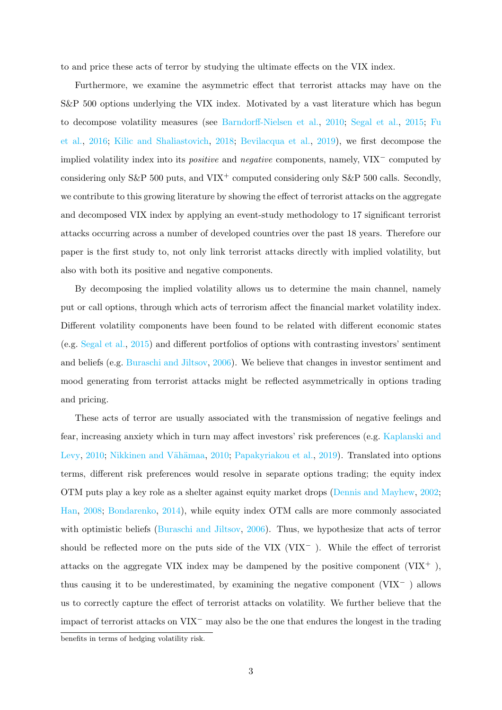to and price these acts of terror by studying the ultimate effects on the VIX index.

Furthermore, we examine the asymmetric effect that terrorist attacks may have on the S&P 500 options underlying the VIX index. Motivated by a vast literature which has begun to decompose volatility measures (see Barndorff-Nielsen et al., 2010; Segal et al., 2015; Fu et al., 2016; Kilic and Shaliastovich, 2018; Bevilacqua et al., 2019), we first decompose the implied volatility index into its positive and negative components, namely, VIX<sup>−</sup> computed by considering only S&P 500 puts, and VIX<sup>+</sup> computed considering only S&P 500 calls. Secondly, we contribute to this growing literature by showing the effect of terrorist attacks on the aggregate and decomposed VIX index by applying an event-study methodology to 17 significant terrorist attacks occurring across a number of developed countries over the past 18 years. Therefore our paper is the first study to, not only link terrorist attacks directly with implied volatility, but also with both its positive and negative components.

By decomposing the implied volatility allows us to determine the main channel, namely put or call options, through which acts of terrorism affect the financial market volatility index. Different volatility components have been found to be related with different economic states (e.g. Segal et al., 2015) and different portfolios of options with contrasting investors' sentiment and beliefs (e.g. Buraschi and Jiltsov, 2006). We believe that changes in investor sentiment and mood generating from terrorist attacks might be reflected asymmetrically in options trading and pricing.

These acts of terror are usually associated with the transmission of negative feelings and fear, increasing anxiety which in turn may affect investors' risk preferences (e.g. Kaplanski and Levy, 2010; Nikkinen and Vähämaa, 2010; Papakyriakou et al., 2019). Translated into options terms, different risk preferences would resolve in separate options trading; the equity index OTM puts play a key role as a shelter against equity market drops (Dennis and Mayhew, 2002; Han, 2008; Bondarenko, 2014), while equity index OTM calls are more commonly associated with optimistic beliefs (Buraschi and Jiltsov, 2006). Thus, we hypothesize that acts of terror should be reflected more on the puts side of the VIX ( $VIX^-$ ). While the effect of terrorist attacks on the aggregate VIX index may be dampened by the positive component  $(VIX^+)$ , thus causing it to be underestimated, by examining the negative component (VIX<sup>−</sup> ) allows us to correctly capture the effect of terrorist attacks on volatility. We further believe that the impact of terrorist attacks on VIX<sup>−</sup> may also be the one that endures the longest in the trading benefits in terms of hedging volatility risk.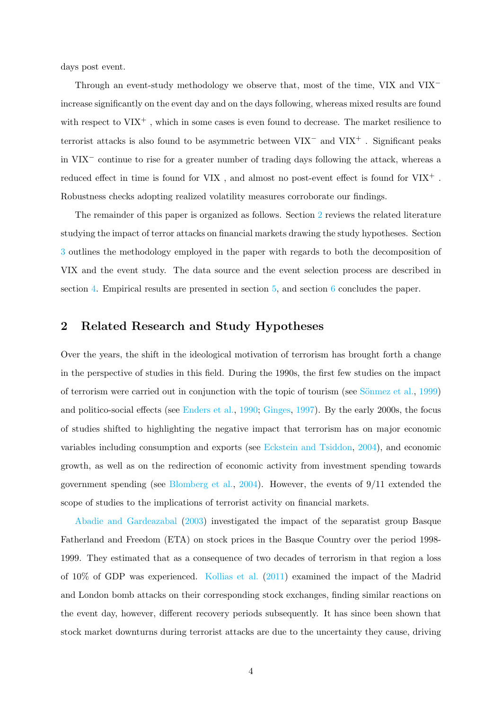days post event.

Through an event-study methodology we observe that, most of the time, VIX and VIX<sup>−</sup> increase significantly on the event day and on the days following, whereas mixed results are found with respect to  $VIX^+$ , which in some cases is even found to decrease. The market resilience to terrorist attacks is also found to be asymmetric between VIX<sup>−</sup> and VIX<sup>+</sup> . Significant peaks in VIX<sup>−</sup> continue to rise for a greater number of trading days following the attack, whereas a reduced effect in time is found for  $VIX$  , and almost no post-event effect is found for  $VIX^+$  . Robustness checks adopting realized volatility measures corroborate our findings.

The remainder of this paper is organized as follows. Section 2 reviews the related literature studying the impact of terror attacks on financial markets drawing the study hypotheses. Section 3 outlines the methodology employed in the paper with regards to both the decomposition of VIX and the event study. The data source and the event selection process are described in section 4. Empirical results are presented in section 5, and section 6 concludes the paper.

#### 2 Related Research and Study Hypotheses

Over the years, the shift in the ideological motivation of terrorism has brought forth a change in the perspective of studies in this field. During the 1990s, the first few studies on the impact of terrorism were carried out in conjunction with the topic of tourism (see  $S\ddot{\text{o}}$  annot al., 1999) and politico-social effects (see Enders et al., 1990; Ginges, 1997). By the early 2000s, the focus of studies shifted to highlighting the negative impact that terrorism has on major economic variables including consumption and exports (see Eckstein and Tsiddon, 2004), and economic growth, as well as on the redirection of economic activity from investment spending towards government spending (see Blomberg et al., 2004). However, the events of 9/11 extended the scope of studies to the implications of terrorist activity on financial markets.

Abadie and Gardeazabal (2003) investigated the impact of the separatist group Basque Fatherland and Freedom (ETA) on stock prices in the Basque Country over the period 1998- 1999. They estimated that as a consequence of two decades of terrorism in that region a loss of 10% of GDP was experienced. Kollias et al. (2011) examined the impact of the Madrid and London bomb attacks on their corresponding stock exchanges, finding similar reactions on the event day, however, different recovery periods subsequently. It has since been shown that stock market downturns during terrorist attacks are due to the uncertainty they cause, driving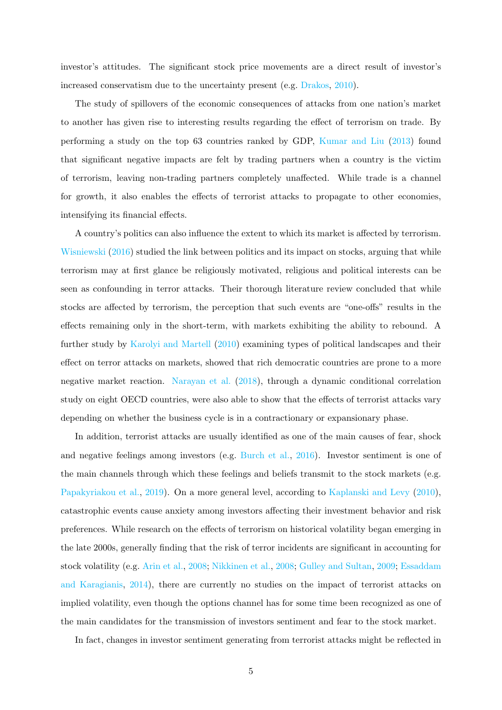investor's attitudes. The significant stock price movements are a direct result of investor's increased conservatism due to the uncertainty present (e.g. Drakos, 2010).

The study of spillovers of the economic consequences of attacks from one nation's market to another has given rise to interesting results regarding the effect of terrorism on trade. By performing a study on the top 63 countries ranked by GDP, Kumar and Liu (2013) found that significant negative impacts are felt by trading partners when a country is the victim of terrorism, leaving non-trading partners completely unaffected. While trade is a channel for growth, it also enables the effects of terrorist attacks to propagate to other economies, intensifying its financial effects.

A country's politics can also influence the extent to which its market is affected by terrorism. Wisniewski (2016) studied the link between politics and its impact on stocks, arguing that while terrorism may at first glance be religiously motivated, religious and political interests can be seen as confounding in terror attacks. Their thorough literature review concluded that while stocks are affected by terrorism, the perception that such events are "one-offs" results in the effects remaining only in the short-term, with markets exhibiting the ability to rebound. A further study by Karolyi and Martell (2010) examining types of political landscapes and their effect on terror attacks on markets, showed that rich democratic countries are prone to a more negative market reaction. Narayan et al. (2018), through a dynamic conditional correlation study on eight OECD countries, were also able to show that the effects of terrorist attacks vary depending on whether the business cycle is in a contractionary or expansionary phase.

In addition, terrorist attacks are usually identified as one of the main causes of fear, shock and negative feelings among investors (e.g. Burch et al., 2016). Investor sentiment is one of the main channels through which these feelings and beliefs transmit to the stock markets (e.g. Papakyriakou et al., 2019). On a more general level, according to Kaplanski and Levy (2010), catastrophic events cause anxiety among investors affecting their investment behavior and risk preferences. While research on the effects of terrorism on historical volatility began emerging in the late 2000s, generally finding that the risk of terror incidents are significant in accounting for stock volatility (e.g. Arin et al., 2008; Nikkinen et al., 2008; Gulley and Sultan, 2009; Essaddam and Karagianis, 2014), there are currently no studies on the impact of terrorist attacks on implied volatility, even though the options channel has for some time been recognized as one of the main candidates for the transmission of investors sentiment and fear to the stock market.

In fact, changes in investor sentiment generating from terrorist attacks might be reflected in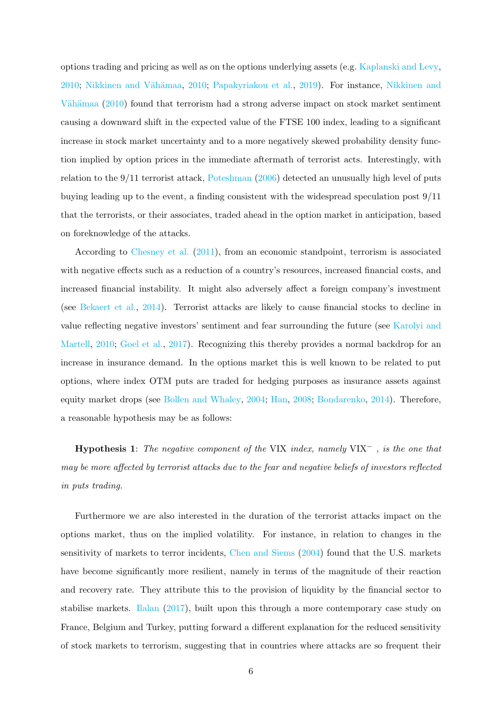options trading and pricing as well as on the options underlying assets (e.g. Kaplanski and Levy, 2010; Nikkinen and Vähämaa, 2010; Papakyriakou et al., 2019). For instance, Nikkinen and Vähämaa (2010) found that terrorism had a strong adverse impact on stock market sentiment causing a downward shift in the expected value of the FTSE 100 index, leading to a significant increase in stock market uncertainty and to a more negatively skewed probability density function implied by option prices in the immediate aftermath of terrorist acts. Interestingly, with relation to the 9/11 terrorist attack, Poteshman (2006) detected an unusually high level of puts buying leading up to the event, a finding consistent with the widespread speculation post 9/11 that the terrorists, or their associates, traded ahead in the option market in anticipation, based on foreknowledge of the attacks.

According to Chesney et al. (2011), from an economic standpoint, terrorism is associated with negative effects such as a reduction of a country's resources, increased financial costs, and increased financial instability. It might also adversely affect a foreign company's investment (see Bekaert et al., 2014). Terrorist attacks are likely to cause financial stocks to decline in value reflecting negative investors' sentiment and fear surrounding the future (see Karolyi and Martell, 2010; Goel et al., 2017). Recognizing this thereby provides a normal backdrop for an increase in insurance demand. In the options market this is well known to be related to put options, where index OTM puts are traded for hedging purposes as insurance assets against equity market drops (see Bollen and Whaley, 2004; Han, 2008; Bondarenko, 2014). Therefore, a reasonable hypothesis may be as follows:

**Hypothesis 1:** The negative component of the VIX index, namely VIX<sup> $-$ , is the one thatmay be more affected by terrorist attacks due to the fear and negative beliefs of investors reflected in puts trading.

Furthermore we are also interested in the duration of the terrorist attacks impact on the options market, thus on the implied volatility. For instance, in relation to changes in the sensitivity of markets to terror incidents, Chen and Siems (2004) found that the U.S. markets have become significantly more resilient, namely in terms of the magnitude of their reaction and recovery rate. They attribute this to the provision of liquidity by the financial sector to stabilise markets. Ilalan (2017), built upon this through a more contemporary case study on France, Belgium and Turkey, putting forward a different explanation for the reduced sensitivity of stock markets to terrorism, suggesting that in countries where attacks are so frequent their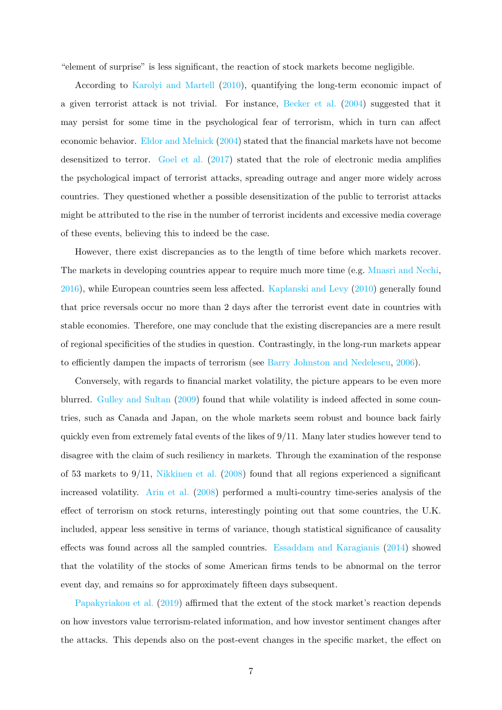"element of surprise" is less significant, the reaction of stock markets become negligible.

According to Karolyi and Martell (2010), quantifying the long-term economic impact of a given terrorist attack is not trivial. For instance, Becker et al. (2004) suggested that it may persist for some time in the psychological fear of terrorism, which in turn can affect economic behavior. Eldor and Melnick (2004) stated that the financial markets have not become desensitized to terror. Goel et al. (2017) stated that the role of electronic media amplifies the psychological impact of terrorist attacks, spreading outrage and anger more widely across countries. They questioned whether a possible desensitization of the public to terrorist attacks might be attributed to the rise in the number of terrorist incidents and excessive media coverage of these events, believing this to indeed be the case.

However, there exist discrepancies as to the length of time before which markets recover. The markets in developing countries appear to require much more time (e.g. Mnasri and Nechi, 2016), while European countries seem less affected. Kaplanski and Levy (2010) generally found that price reversals occur no more than 2 days after the terrorist event date in countries with stable economies. Therefore, one may conclude that the existing discrepancies are a mere result of regional specificities of the studies in question. Contrastingly, in the long-run markets appear to efficiently dampen the impacts of terrorism (see Barry Johnston and Nedelescu, 2006).

Conversely, with regards to financial market volatility, the picture appears to be even more blurred. Gulley and Sultan (2009) found that while volatility is indeed affected in some countries, such as Canada and Japan, on the whole markets seem robust and bounce back fairly quickly even from extremely fatal events of the likes of 9/11. Many later studies however tend to disagree with the claim of such resiliency in markets. Through the examination of the response of 53 markets to 9/11, Nikkinen et al. (2008) found that all regions experienced a significant increased volatility. Arin et al. (2008) performed a multi-country time-series analysis of the effect of terrorism on stock returns, interestingly pointing out that some countries, the U.K. included, appear less sensitive in terms of variance, though statistical significance of causality effects was found across all the sampled countries. Essaddam and Karagianis (2014) showed that the volatility of the stocks of some American firms tends to be abnormal on the terror event day, and remains so for approximately fifteen days subsequent.

Papakyriakou et al. (2019) affirmed that the extent of the stock market's reaction depends on how investors value terrorism-related information, and how investor sentiment changes after the attacks. This depends also on the post-event changes in the specific market, the effect on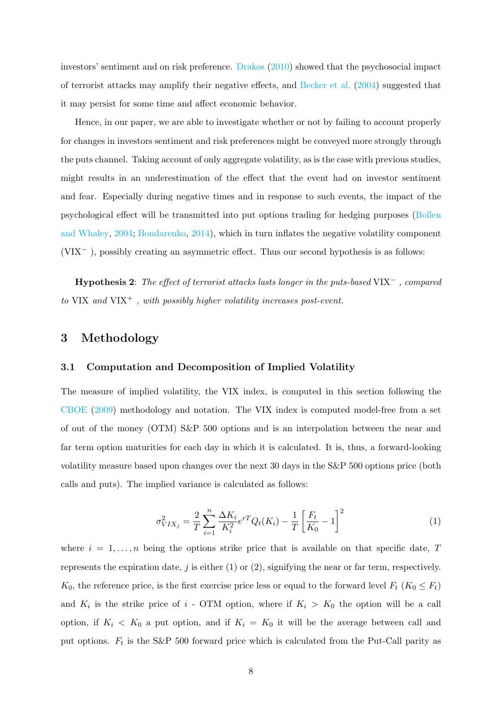investors' sentiment and on risk preference. Drakos (2010) showed that the psychosocial impact of terrorist attacks may amplify their negative effects, and Becker et al. (2004) suggested that it may persist for some time and affect economic behavior.

Hence, in our paper, we are able to investigate whether or not by failing to account properly for changes in investors sentiment and risk preferences might be conveyed more strongly through the puts channel. Taking account of only aggregate volatility, as is the case with previous studies, might results in an underestimation of the effect that the event had on investor sentiment and fear. Especially during negative times and in response to such events, the impact of the psychological effect will be transmitted into put options trading for hedging purposes (Bollen and Whaley, 2004; Bondarenko, 2014), which in turn inflates the negative volatility component (VIX<sup>−</sup> ), possibly creating an asymmetric effect. Thus our second hypothesis is as follows:

Hypothesis 2: The effect of terrorist attacks lasts longer in the puts-based VIX<sup>−</sup> , compared to VIX and VIX<sup>+</sup>, with possibly higher volatility increases post-event.

#### 3 Methodology

#### 3.1 Computation and Decomposition of Implied Volatility

The measure of implied volatility, the VIX index, is computed in this section following the CBOE (2009) methodology and notation. The VIX index is computed model-free from a set of out of the money (OTM) S&P 500 options and is an interpolation between the near and far term option maturities for each day in which it is calculated. It is, thus, a forward-looking volatility measure based upon changes over the next 30 days in the S&P 500 options price (both calls and puts). The implied variance is calculated as follows:

$$
\sigma_{VIX_j}^2 = \frac{2}{T} \sum_{i=1}^n \frac{\Delta K_i}{K_i^2} e^{rT} Q_t(K_i) - \frac{1}{T} \left[ \frac{F_t}{K_0} - 1 \right]^2 \tag{1}
$$

where  $i = 1, \ldots, n$  being the options strike price that is available on that specific date, T represents the expiration date,  $j$  is either (1) or (2), signifying the near or far term, respectively.  $K_0$ , the reference price, is the first exercise price less or equal to the forward level  $F_t$  ( $K_0 \leq F_t$ ) and  $K_i$  is the strike price of i - OTM option, where if  $K_i > K_0$  the option will be a call option, if  $K_i < K_0$  a put option, and if  $K_i = K_0$  it will be the average between call and put options.  $F_t$  is the S&P 500 forward price which is calculated from the Put-Call parity as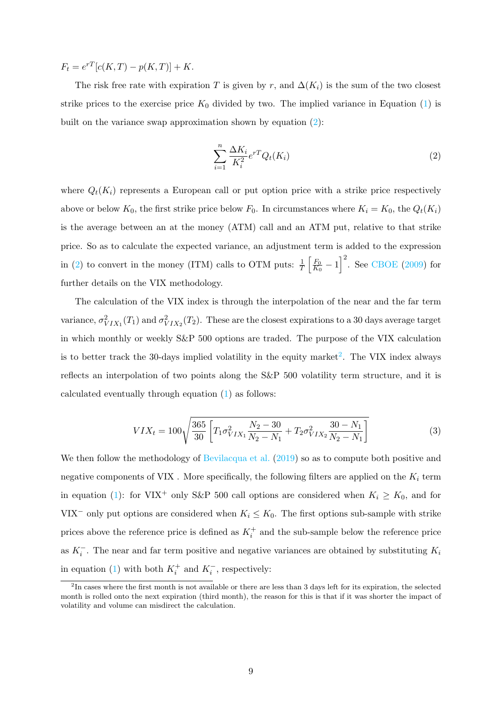$F_t = e^{rT} [c(K,T) - p(K,T)] + K.$ 

The risk free rate with expiration T is given by r, and  $\Delta(K_i)$  is the sum of the two closest strike prices to the exercise price  $K_0$  divided by two. The implied variance in Equation (1) is built on the variance swap approximation shown by equation (2):

$$
\sum_{i=1}^{n} \frac{\Delta K_i}{K_i^2} e^{rT} Q_t(K_i)
$$
\n<sup>(2)</sup>

where  $Q_t(K_i)$  represents a European call or put option price with a strike price respectively above or below  $K_0$ , the first strike price below  $F_0$ . In circumstances where  $K_i = K_0$ , the  $Q_t(K_i)$ is the average between an at the money (ATM) call and an ATM put, relative to that strike price. So as to calculate the expected variance, an adjustment term is added to the expression in (2) to convert in the money (ITM) calls to OTM puts:  $\frac{1}{T} \left[ \frac{F_0}{K_0} \right]$  $\left(\frac{F_0}{K_0}-1\right)^2$ . See CBOE (2009) for further details on the VIX methodology.

The calculation of the VIX index is through the interpolation of the near and the far term variance,  $\sigma_{VIX_1}^2(T_1)$  and  $\sigma_{VIX_2}^2(T_2)$ . These are the closest expirations to a 30 days average target in which monthly or weekly S&P 500 options are traded. The purpose of the VIX calculation is to better track the 30-days implied volatility in the equity market<sup>2</sup>. The VIX index always reflects an interpolation of two points along the S&P 500 volatility term structure, and it is calculated eventually through equation (1) as follows:

$$
VIX_t = 100\sqrt{\frac{365}{30} \left[ T_1 \sigma_{VIX_1}^2 \frac{N_2 - 30}{N_2 - N_1} + T_2 \sigma_{VIX_2}^2 \frac{30 - N_1}{N_2 - N_1} \right]}
$$
(3)

We then follow the methodology of Bevilacqua et al. (2019) so as to compute both positive and negative components of VIX . More specifically, the following filters are applied on the  $K_i$  term in equation (1): for VIX<sup>+</sup> only S&P 500 call options are considered when  $K_i \ge K_0$ , and for VIX<sup>-</sup> only put options are considered when  $K_i \leq K_0$ . The first options sub-sample with strike prices above the reference price is defined as  $K_i^+$  and the sub-sample below the reference price as  $K_i^-$ . The near and far term positive and negative variances are obtained by substituting  $K_i$ in equation (1) with both  $K_i^+$  and  $K_i^-$ , respectively:

 $2<sup>2</sup>$ In cases where the first month is not available or there are less than 3 days left for its expiration, the selected month is rolled onto the next expiration (third month), the reason for this is that if it was shorter the impact of volatility and volume can misdirect the calculation.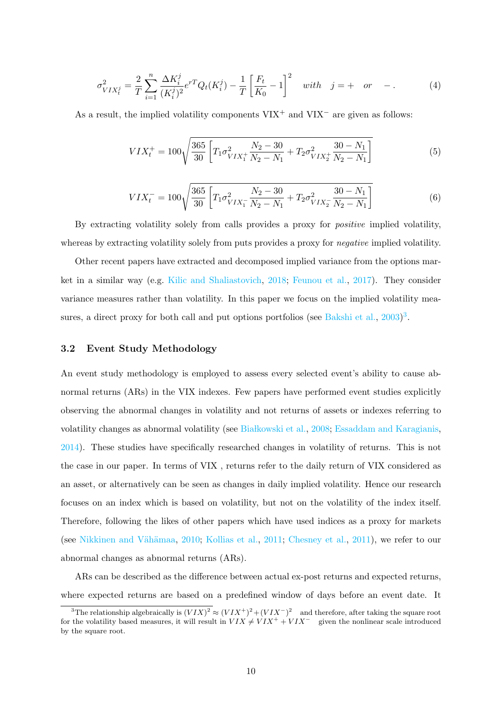$$
\sigma_{VIX_t^j}^2 = \frac{2}{T} \sum_{i=1}^n \frac{\Delta K_i^j}{(K_i^j)^2} e^{rT} Q_t(K_i^j) - \frac{1}{T} \left[ \frac{F_t}{K_0} - 1 \right]^2 \quad with \quad j = + \quad or \quad -.
$$
 (4)

As a result, the implied volatility components  $VIX^+$  and  $VIX^-$  are given as follows:

$$
VIX_t^+ = 100\sqrt{\frac{365}{30} \left[ T_1 \sigma_{VIX_1^+}^2 \frac{N_2 - 30}{N_2 - N_1} + T_2 \sigma_{VIX_2^+}^2 \frac{30 - N_1}{N_2 - N_1} \right]}
$$
(5)

$$
VIX_t^- = 100\sqrt{\frac{365}{30} \left[ T_1 \sigma_{VIX_1^-}^2 \frac{N_2 - 30}{N_2 - N_1} + T_2 \sigma_{VIX_2^-}^2 \frac{30 - N_1}{N_2 - N_1} \right]}
$$
(6)

By extracting volatility solely from calls provides a proxy for *positive* implied volatility, whereas by extracting volatility solely from puts provides a proxy for *negative* implied volatility.

Other recent papers have extracted and decomposed implied variance from the options market in a similar way (e.g. Kilic and Shaliastovich, 2018; Feunou et al., 2017). They consider variance measures rather than volatility. In this paper we focus on the implied volatility measures, a direct proxy for both call and put options portfolios (see Bakshi et al.,  $2003$ )<sup>3</sup>.

#### 3.2 Event Study Methodology

An event study methodology is employed to assess every selected event's ability to cause abnormal returns (ARs) in the VIX indexes. Few papers have performed event studies explicitly observing the abnormal changes in volatility and not returns of assets or indexes referring to volatility changes as abnormal volatility (see Białkowski et al., 2008; Essaddam and Karagianis, 2014). These studies have specifically researched changes in volatility of returns. This is not the case in our paper. In terms of VIX , returns refer to the daily return of VIX considered as an asset, or alternatively can be seen as changes in daily implied volatility. Hence our research focuses on an index which is based on volatility, but not on the volatility of the index itself. Therefore, following the likes of other papers which have used indices as a proxy for markets (see Nikkinen and Vähämaa, 2010; Kollias et al., 2011; Chesney et al., 2011), we refer to our abnormal changes as abnormal returns (ARs).

ARs can be described as the difference between actual ex-post returns and expected returns, where expected returns are based on a predefined window of days before an event date. It

<sup>&</sup>lt;sup>3</sup>The relationship algebraically is  $(VIX)^2 \approx (VIX^+)^2 + (VIX^-)^2$  and therefore, after taking the square root for the volatility based measures, it will result in  $V I X \neq V I X^+ + V I X^-$  given the nonlinear scale introduced by the square root.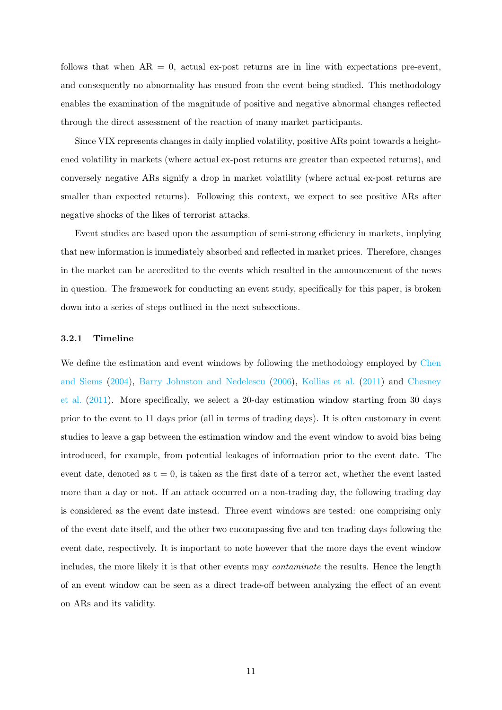follows that when  $AR = 0$ , actual ex-post returns are in line with expectations pre-event, and consequently no abnormality has ensued from the event being studied. This methodology enables the examination of the magnitude of positive and negative abnormal changes reflected through the direct assessment of the reaction of many market participants.

Since VIX represents changes in daily implied volatility, positive ARs point towards a heightened volatility in markets (where actual ex-post returns are greater than expected returns), and conversely negative ARs signify a drop in market volatility (where actual ex-post returns are smaller than expected returns). Following this context, we expect to see positive ARs after negative shocks of the likes of terrorist attacks.

Event studies are based upon the assumption of semi-strong efficiency in markets, implying that new information is immediately absorbed and reflected in market prices. Therefore, changes in the market can be accredited to the events which resulted in the announcement of the news in question. The framework for conducting an event study, specifically for this paper, is broken down into a series of steps outlined in the next subsections.

#### 3.2.1 Timeline

We define the estimation and event windows by following the methodology employed by Chen and Siems (2004), Barry Johnston and Nedelescu (2006), Kollias et al. (2011) and Chesney et al. (2011). More specifically, we select a 20-day estimation window starting from 30 days prior to the event to 11 days prior (all in terms of trading days). It is often customary in event studies to leave a gap between the estimation window and the event window to avoid bias being introduced, for example, from potential leakages of information prior to the event date. The event date, denoted as  $t = 0$ , is taken as the first date of a terror act, whether the event lasted more than a day or not. If an attack occurred on a non-trading day, the following trading day is considered as the event date instead. Three event windows are tested: one comprising only of the event date itself, and the other two encompassing five and ten trading days following the event date, respectively. It is important to note however that the more days the event window includes, the more likely it is that other events may contaminate the results. Hence the length of an event window can be seen as a direct trade-off between analyzing the effect of an event on ARs and its validity.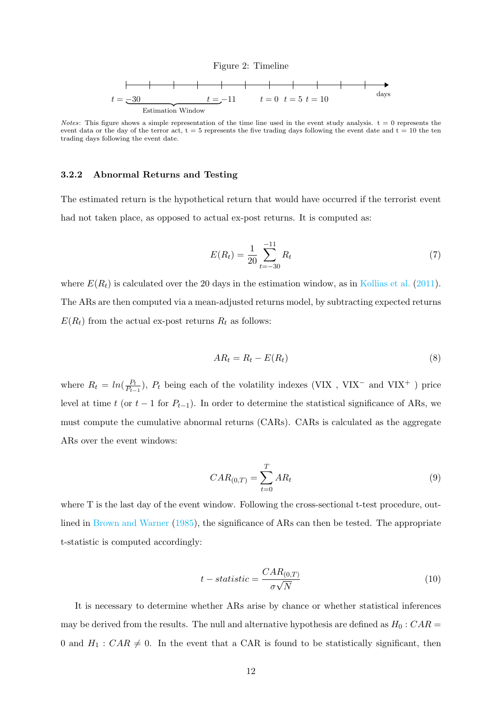

Notes: This figure shows a simple representation of the time line used in the event study analysis.  $t = 0$  represents the event data or the day of the terror act,  $t = 5$  represents the five trading days following the event date and  $t = 10$  the ten trading days following the event date.

#### 3.2.2 Abnormal Returns and Testing

The estimated return is the hypothetical return that would have occurred if the terrorist event had not taken place, as opposed to actual ex-post returns. It is computed as:

$$
E(R_t) = \frac{1}{20} \sum_{t=-30}^{-11} R_t
$$
\n(7)

where  $E(R_t)$  is calculated over the 20 days in the estimation window, as in Kollias et al. (2011). The ARs are then computed via a mean-adjusted returns model, by subtracting expected returns  $E(R_t)$  from the actual ex-post returns  $R_t$  as follows:

$$
AR_t = R_t - E(R_t) \tag{8}
$$

where  $R_t = ln(\frac{P_t}{P_t})$  $\frac{P_t}{P_{t-1}}$ ),  $P_t$  being each of the volatility indexes (VIX, VIX<sup>-</sup> and VIX<sup>+</sup>) price level at time t (or t – 1 for  $P_{t-1}$ ). In order to determine the statistical significance of ARs, we must compute the cumulative abnormal returns (CARs). CARs is calculated as the aggregate ARs over the event windows:

$$
CAR_{(0,T)} = \sum_{t=0}^{T} AR_t
$$
\n
$$
(9)
$$

where T is the last day of the event window. Following the cross-sectional t-test procedure, outlined in Brown and Warner (1985), the significance of ARs can then be tested. The appropriate t-statistic is computed accordingly:

$$
t - statistic = \frac{CAR_{(0,T)}}{\sigma \sqrt{N}}
$$
\n(10)

It is necessary to determine whether ARs arise by chance or whether statistical inferences may be derived from the results. The null and alternative hypothesis are defined as  $H_0$ :  $CAR =$ 0 and  $H_1$ :  $CAR \neq 0$ . In the event that a CAR is found to be statistically significant, then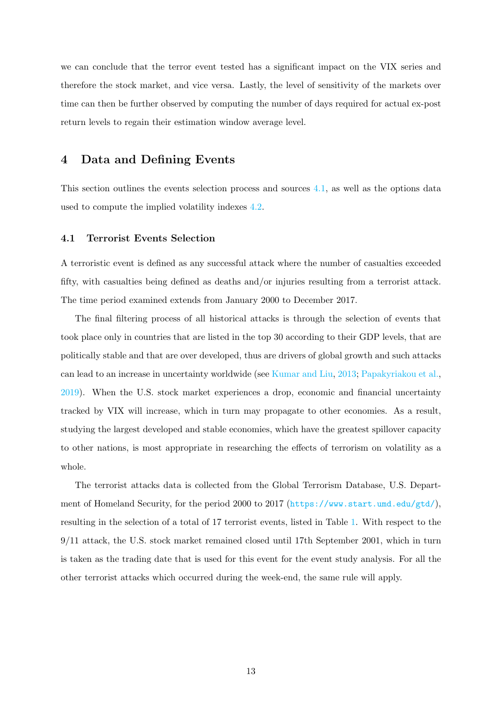we can conclude that the terror event tested has a significant impact on the VIX series and therefore the stock market, and vice versa. Lastly, the level of sensitivity of the markets over time can then be further observed by computing the number of days required for actual ex-post return levels to regain their estimation window average level.

#### 4 Data and Defining Events

This section outlines the events selection process and sources 4.1, as well as the options data used to compute the implied volatility indexes 4.2.

#### 4.1 Terrorist Events Selection

A terroristic event is defined as any successful attack where the number of casualties exceeded fifty, with casualties being defined as deaths and/or injuries resulting from a terrorist attack. The time period examined extends from January 2000 to December 2017.

The final filtering process of all historical attacks is through the selection of events that took place only in countries that are listed in the top 30 according to their GDP levels, that are politically stable and that are over developed, thus are drivers of global growth and such attacks can lead to an increase in uncertainty worldwide (see Kumar and Liu, 2013; Papakyriakou et al., 2019). When the U.S. stock market experiences a drop, economic and financial uncertainty tracked by VIX will increase, which in turn may propagate to other economies. As a result, studying the largest developed and stable economies, which have the greatest spillover capacity to other nations, is most appropriate in researching the effects of terrorism on volatility as a whole.

The terrorist attacks data is collected from the Global Terrorism Database, U.S. Department of Homeland Security, for the period 2000 to 2017 (<https://www.start.umd.edu/gtd/>), resulting in the selection of a total of 17 terrorist events, listed in Table 1. With respect to the 9/11 attack, the U.S. stock market remained closed until 17th September 2001, which in turn is taken as the trading date that is used for this event for the event study analysis. For all the other terrorist attacks which occurred during the week-end, the same rule will apply.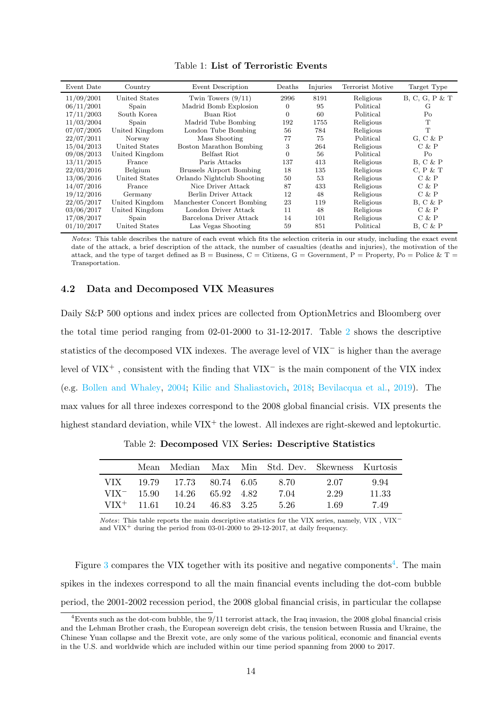| Event Date | Country        | Event Description               | Deaths   | Injuries | Terrorist Motive | Target Type       |
|------------|----------------|---------------------------------|----------|----------|------------------|-------------------|
| 11/09/2001 | United States  | Twin Towers $(9/11)$            | 2996     | 8191     | Religious        | $B, C, G, P \& T$ |
| 06/11/2001 | Spain          | Madrid Bomb Explosion           | 0        | 95       | Political        | G                 |
| 17/11/2003 | South Korea    | Buan Riot                       | $\Omega$ | 60       | Political        | Po                |
| 11/03/2004 | Spain          | Madrid Tube Bombing             | 192      | 1755     | Religious        | T                 |
| 07/07/2005 | United Kingdom | London Tube Bombing             | 56       | 784      | Religious        | T                 |
| 22/07/2011 | Norway         | Mass Shooting                   | 77       | 75       | Political        | $G, C \& P$       |
| 15/04/2013 | United States  | Boston Marathon Bombing         | 3        | 264      | Religious        | C & P             |
| 09/08/2013 | United Kingdom | Belfast Riot                    | $\Omega$ | 56       | Political        | Po                |
| 13/11/2015 | France         | Paris Attacks                   | 137      | 413      | Religious        | $B, C \& P$       |
| 22/03/2016 | Belgium        | <b>Brussels Airport Bombing</b> | 18       | 135      | Religious        | C, P & T          |
| 13/06/2016 | United States  | Orlando Nightclub Shooting      | 50       | 53       | Religious        | C & P             |
| 14/07/2016 | France         | Nice Driver Attack              | 87       | 433      | Religious        | C & P             |
| 19/12/2016 | Germany        | Berlin Driver Attack            | 12       | 48       | Religious        | C & P             |
| 22/05/2017 | United Kingdom | Manchester Concert Bombing      | 23       | 119      | Religious        | B. C & P          |
| 03/06/2017 | United Kingdom | London Driver Attack            | 11       | 48       | Religious        | C & P             |
| 17/08/2017 | Spain          | Barcelona Driver Attack         | 14       | 101      | Religious        | C & P             |
| 01/10/2017 | United States  | Las Vegas Shooting              | 59       | 851      | Political        | $B, C \& P$       |

Notes: This table describes the nature of each event which fits the selection criteria in our study, including the exact event date of the attack, a brief description of the attack, the number of casualties (deaths and injuries), the motivation of the attack, and the type of target defined as  $B =$  Business,  $C =$  Citizens,  $G =$  Government,  $P =$  Property,  $Po =$  Police &  $T =$ Transportation.

#### 4.2 Data and Decomposed VIX Measures

Daily S&P 500 options and index prices are collected from OptionMetrics and Bloomberg over the total time period ranging from 02-01-2000 to 31-12-2017. Table 2 shows the descriptive statistics of the decomposed VIX indexes. The average level of VIX<sup>−</sup> is higher than the average level of VIX<sup>+</sup> , consistent with the finding that VIX<sup>−</sup> is the main component of the VIX index (e.g. Bollen and Whaley, 2004; Kilic and Shaliastovich, 2018; Bevilacqua et al., 2019). The max values for all three indexes correspond to the 2008 global financial crisis. VIX presents the highest standard deviation, while  $VIX^+$  the lowest. All indexes are right-skewed and leptokurtic.

|      | Mean          | Median                         |  | Max Min Std. Dev. Skewness Kurtosis |      |       |
|------|---------------|--------------------------------|--|-------------------------------------|------|-------|
| VIX. |               | 19.79 17.73 80.74 6.05         |  | -8.70                               | 2.07 | 9.94  |
|      | $VIX^-$ 15.90 | 14.26 65.92 4.82               |  | 7.04                                | 2.29 | 11.33 |
|      |               | $VIX^+$ 11.61 10.24 46.83 3.25 |  | -5-26                               | 1.69 | 7.49  |

Table 2: Decomposed VIX Series: Descriptive Statistics

 $Notes:$  This table reports the main descriptive statistics for the VIX series, namely, VIX , VIX $^−$ and  $VIX^+$  during the period from 03-01-2000 to 29-12-2017, at daily frequency.

Figure 3 compares the VIX together with its positive and negative components<sup>4</sup>. The main spikes in the indexes correspond to all the main financial events including the dot-com bubble period, the 2001-2002 recession period, the 2008 global financial crisis, in particular the collapse

 $4$ Events such as the dot-com bubble, the  $9/11$  terrorist attack, the Iraq invasion, the 2008 global financial crisis and the Lehman Brother crash, the European sovereign debt crisis, the tension between Russia and Ukraine, the Chinese Yuan collapse and the Brexit vote, are only some of the various political, economic and financial events in the U.S. and worldwide which are included within our time period spanning from 2000 to 2017.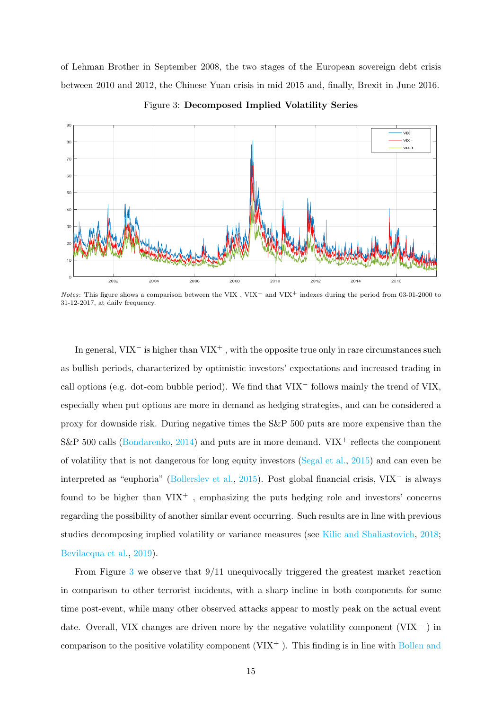of Lehman Brother in September 2008, the two stages of the European sovereign debt crisis between 2010 and 2012, the Chinese Yuan crisis in mid 2015 and, finally, Brexit in June 2016.



Figure 3: Decomposed Implied Volatility Series

Notes: This figure shows a comparison between the VIX , VIX<sup>−</sup> and VIX<sup>+</sup> indexes during the period from 03-01-2000 to 31-12-2017, at daily frequency.

In general, VIX<sup>-</sup> is higher than VIX<sup>+</sup>, with the opposite true only in rare circumstances such as bullish periods, characterized by optimistic investors' expectations and increased trading in call options (e.g. dot-com bubble period). We find that VIX<sup>−</sup> follows mainly the trend of VIX, especially when put options are more in demand as hedging strategies, and can be considered a proxy for downside risk. During negative times the S&P 500 puts are more expensive than the S&P 500 calls (Bondarenko, 2014) and puts are in more demand.  $VIX^+$  reflects the component of volatility that is not dangerous for long equity investors (Segal et al., 2015) and can even be interpreted as "euphoria" (Bollerslev et al., 2015). Post global financial crisis, VIX<sup>−</sup> is always found to be higher than  $VIX^+$ , emphasizing the puts hedging role and investors' concerns regarding the possibility of another similar event occurring. Such results are in line with previous studies decomposing implied volatility or variance measures (see Kilic and Shaliastovich, 2018; Bevilacqua et al., 2019).

From Figure 3 we observe that 9/11 unequivocally triggered the greatest market reaction in comparison to other terrorist incidents, with a sharp incline in both components for some time post-event, while many other observed attacks appear to mostly peak on the actual event date. Overall, VIX changes are driven more by the negative volatility component (VIX<sup>−</sup> ) in comparison to the positive volatility component  $(VIX^+)$ . This finding is in line with Bollen and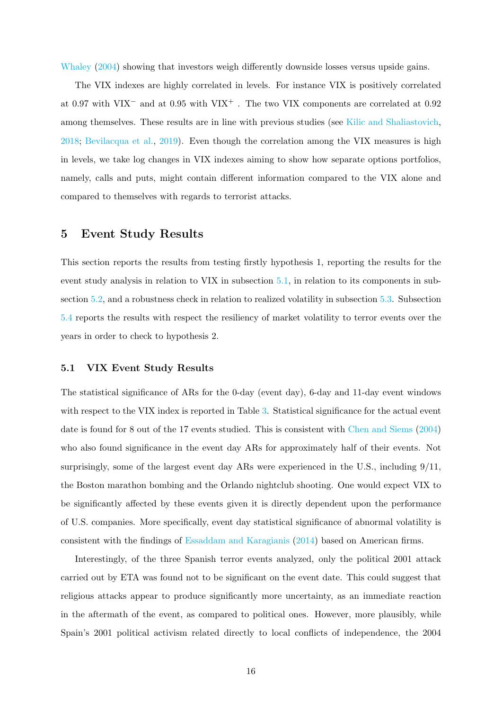Whaley (2004) showing that investors weigh differently downside losses versus upside gains.

The VIX indexes are highly correlated in levels. For instance VIX is positively correlated at 0.97 with VIX<sup>−</sup> and at 0.95 with VIX<sup>+</sup> . The two VIX components are correlated at 0.92 among themselves. These results are in line with previous studies (see Kilic and Shaliastovich, 2018; Bevilacqua et al., 2019). Even though the correlation among the VIX measures is high in levels, we take log changes in VIX indexes aiming to show how separate options portfolios, namely, calls and puts, might contain different information compared to the VIX alone and compared to themselves with regards to terrorist attacks.

#### 5 Event Study Results

This section reports the results from testing firstly hypothesis 1, reporting the results for the event study analysis in relation to VIX in subsection 5.1, in relation to its components in subsection 5.2, and a robustness check in relation to realized volatility in subsection 5.3. Subsection 5.4 reports the results with respect the resiliency of market volatility to terror events over the years in order to check to hypothesis 2.

#### 5.1 VIX Event Study Results

The statistical significance of ARs for the 0-day (event day), 6-day and 11-day event windows with respect to the VIX index is reported in Table 3. Statistical significance for the actual event date is found for 8 out of the 17 events studied. This is consistent with Chen and Siems (2004) who also found significance in the event day ARs for approximately half of their events. Not surprisingly, some of the largest event day ARs were experienced in the U.S., including 9/11, the Boston marathon bombing and the Orlando nightclub shooting. One would expect VIX to be significantly affected by these events given it is directly dependent upon the performance of U.S. companies. More specifically, event day statistical significance of abnormal volatility is consistent with the findings of Essaddam and Karagianis (2014) based on American firms.

Interestingly, of the three Spanish terror events analyzed, only the political 2001 attack carried out by ETA was found not to be significant on the event date. This could suggest that religious attacks appear to produce significantly more uncertainty, as an immediate reaction in the aftermath of the event, as compared to political ones. However, more plausibly, while Spain's 2001 political activism related directly to local conflicts of independence, the 2004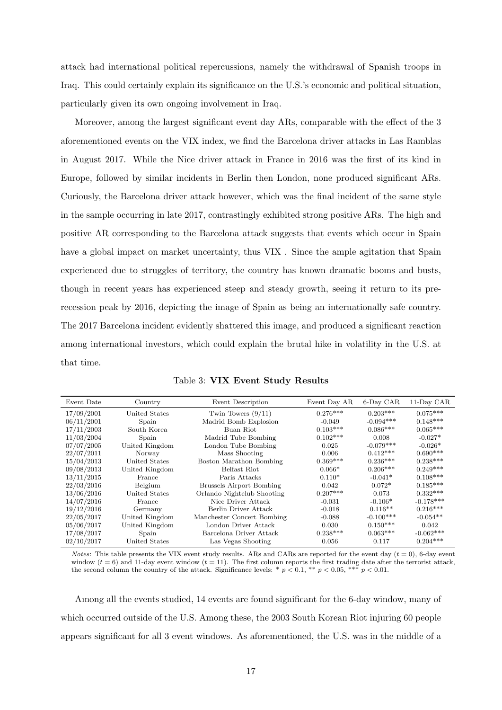attack had international political repercussions, namely the withdrawal of Spanish troops in Iraq. This could certainly explain its significance on the U.S.'s economic and political situation, particularly given its own ongoing involvement in Iraq.

Moreover, among the largest significant event day ARs, comparable with the effect of the 3 aforementioned events on the VIX index, we find the Barcelona driver attacks in Las Ramblas in August 2017. While the Nice driver attack in France in 2016 was the first of its kind in Europe, followed by similar incidents in Berlin then London, none produced significant ARs. Curiously, the Barcelona driver attack however, which was the final incident of the same style in the sample occurring in late 2017, contrastingly exhibited strong positive ARs. The high and positive AR corresponding to the Barcelona attack suggests that events which occur in Spain have a global impact on market uncertainty, thus VIX . Since the ample agitation that Spain experienced due to struggles of territory, the country has known dramatic booms and busts, though in recent years has experienced steep and steady growth, seeing it return to its prerecession peak by 2016, depicting the image of Spain as being an internationally safe country. The 2017 Barcelona incident evidently shattered this image, and produced a significant reaction among international investors, which could explain the brutal hike in volatility in the U.S. at that time.

| Event Date | Country        | Event Description               | Event Day AR | 6-Day CAR   | 11-Day CAR  |
|------------|----------------|---------------------------------|--------------|-------------|-------------|
| 17/09/2001 | United States  | Twin Towers $(9/11)$            | $0.276***$   | $0.203***$  | $0.075***$  |
| 06/11/2001 | Spain          | Madrid Bomb Explosion           | $-0.049$     | $-0.094***$ | $0.148***$  |
| 17/11/2003 | South Korea    | Buan Riot                       | $0.103***$   | $0.086***$  | $0.065***$  |
| 11/03/2004 | Spain          | Madrid Tube Bombing             | $0.102***$   | 0.008       | $-0.027*$   |
| 07/07/2005 | United Kingdom | London Tube Bombing             | 0.025        | $-0.079***$ | $-0.026*$   |
| 22/07/2011 | Norway         | Mass Shooting                   | 0.006        | $0.412***$  | $0.690***$  |
| 15/04/2013 | United States  | Boston Marathon Bombing         | $0.369***$   | $0.236***$  | $0.238***$  |
| 09/08/2013 | United Kingdom | Belfast Riot                    | $0.066*$     | $0.206***$  | $0.249***$  |
| 13/11/2015 | France         | Paris Attacks                   | $0.110*$     | $-0.041*$   | $0.108***$  |
| 22/03/2016 | Belgium        | <b>Brussels Airport Bombing</b> | 0.042        | $0.072*$    | $0.185***$  |
| 13/06/2016 | United States  | Orlando Nightclub Shooting      | $0.207***$   | 0.073       | $0.332***$  |
| 14/07/2016 | France         | Nice Driver Attack              | $-0.031$     | $-0.106*$   | $-0.178***$ |
| 19/12/2016 | Germany        | Berlin Driver Attack            | $-0.018$     | $0.116**$   | $0.216***$  |
| 22/05/2017 | United Kingdom | Manchester Concert Bombing      | $-0.088$     | $-0.100***$ | $-0.054**$  |
| 05/06/2017 | United Kingdom | London Driver Attack            | 0.030        | $0.150***$  | 0.042       |
| 17/08/2017 | Spain          | Barcelona Driver Attack         | $0.238***$   | $0.063***$  | $-0.062***$ |
| 02/10/2017 | United States  | Las Vegas Shooting              | 0.056        | 0.117       | $0.204***$  |

|  |  |  |  | Table 3: VIX Event Study Results |
|--|--|--|--|----------------------------------|
|--|--|--|--|----------------------------------|

*Notes*: This table presents the VIX event study results. ARs and CARs are reported for the event day ( $t = 0$ ), 6-day event window ( $t = 6$ ) and 11-day event window ( $t = 11$ ). The first column reports the first trading date after the terrorist attack, the second column the country of the attack. Significance levels: \*  $p < 0.1$ , \*\*  $p < 0.05$ , \*\*\*  $p < 0.01$ .

Among all the events studied, 14 events are found significant for the 6-day window, many of which occurred outside of the U.S. Among these, the 2003 South Korean Riot injuring 60 people appears significant for all 3 event windows. As aforementioned, the U.S. was in the middle of a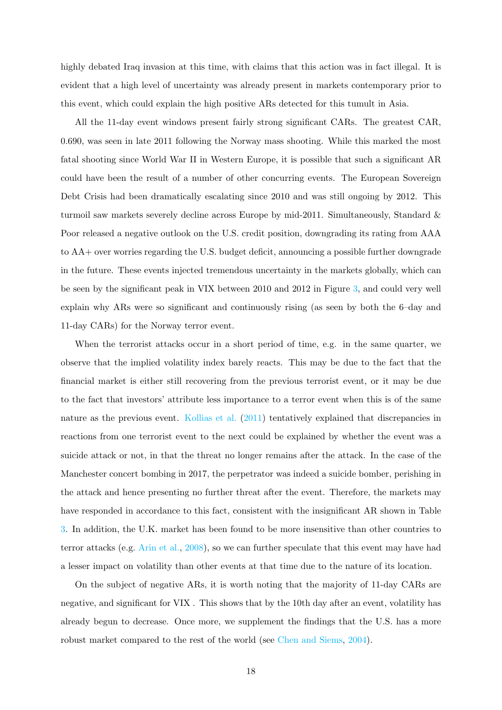highly debated Iraq invasion at this time, with claims that this action was in fact illegal. It is evident that a high level of uncertainty was already present in markets contemporary prior to this event, which could explain the high positive ARs detected for this tumult in Asia.

All the 11-day event windows present fairly strong significant CARs. The greatest CAR, 0.690, was seen in late 2011 following the Norway mass shooting. While this marked the most fatal shooting since World War II in Western Europe, it is possible that such a significant AR could have been the result of a number of other concurring events. The European Sovereign Debt Crisis had been dramatically escalating since 2010 and was still ongoing by 2012. This turmoil saw markets severely decline across Europe by mid-2011. Simultaneously, Standard & Poor released a negative outlook on the U.S. credit position, downgrading its rating from AAA to AA+ over worries regarding the U.S. budget deficit, announcing a possible further downgrade in the future. These events injected tremendous uncertainty in the markets globally, which can be seen by the significant peak in VIX between 2010 and 2012 in Figure 3, and could very well explain why ARs were so significant and continuously rising (as seen by both the 6–day and 11-day CARs) for the Norway terror event.

When the terrorist attacks occur in a short period of time, e.g. in the same quarter, we observe that the implied volatility index barely reacts. This may be due to the fact that the financial market is either still recovering from the previous terrorist event, or it may be due to the fact that investors' attribute less importance to a terror event when this is of the same nature as the previous event. Kollias et al. (2011) tentatively explained that discrepancies in reactions from one terrorist event to the next could be explained by whether the event was a suicide attack or not, in that the threat no longer remains after the attack. In the case of the Manchester concert bombing in 2017, the perpetrator was indeed a suicide bomber, perishing in the attack and hence presenting no further threat after the event. Therefore, the markets may have responded in accordance to this fact, consistent with the insignificant AR shown in Table 3. In addition, the U.K. market has been found to be more insensitive than other countries to terror attacks (e.g. Arin et al., 2008), so we can further speculate that this event may have had a lesser impact on volatility than other events at that time due to the nature of its location.

On the subject of negative ARs, it is worth noting that the majority of 11-day CARs are negative, and significant for VIX . This shows that by the 10th day after an event, volatility has already begun to decrease. Once more, we supplement the findings that the U.S. has a more robust market compared to the rest of the world (see Chen and Siems, 2004).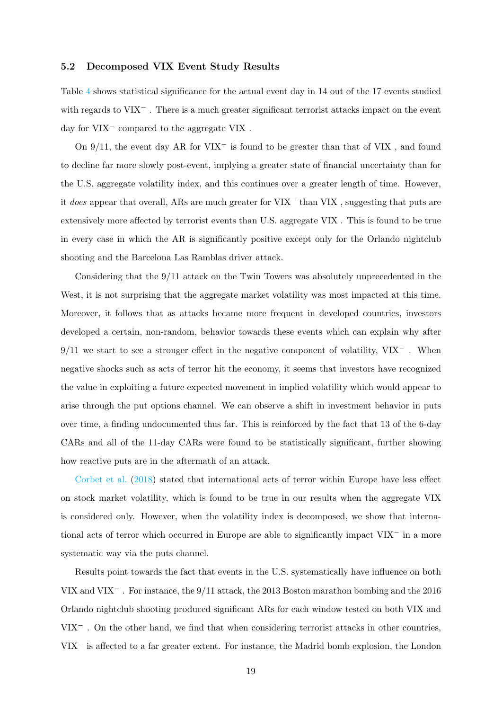#### 5.2 Decomposed VIX Event Study Results

Table 4 shows statistical significance for the actual event day in 14 out of the 17 events studied with regards to VIX<sup>−</sup> . There is a much greater significant terrorist attacks impact on the event day for VIX<sup>−</sup> compared to the aggregate VIX .

On 9/11, the event day AR for VIX<sup>−</sup> is found to be greater than that of VIX , and found to decline far more slowly post-event, implying a greater state of financial uncertainty than for the U.S. aggregate volatility index, and this continues over a greater length of time. However, it does appear that overall, ARs are much greater for VIX<sup>−</sup> than VIX , suggesting that puts are extensively more affected by terrorist events than U.S. aggregate VIX . This is found to be true in every case in which the AR is significantly positive except only for the Orlando nightclub shooting and the Barcelona Las Ramblas driver attack.

Considering that the 9/11 attack on the Twin Towers was absolutely unprecedented in the West, it is not surprising that the aggregate market volatility was most impacted at this time. Moreover, it follows that as attacks became more frequent in developed countries, investors developed a certain, non-random, behavior towards these events which can explain why after 9/11 we start to see a stronger effect in the negative component of volatility, VIX<sup>−</sup>. When negative shocks such as acts of terror hit the economy, it seems that investors have recognized the value in exploiting a future expected movement in implied volatility which would appear to arise through the put options channel. We can observe a shift in investment behavior in puts over time, a finding undocumented thus far. This is reinforced by the fact that 13 of the 6-day CARs and all of the 11-day CARs were found to be statistically significant, further showing how reactive puts are in the aftermath of an attack.

Corbet et al. (2018) stated that international acts of terror within Europe have less effect on stock market volatility, which is found to be true in our results when the aggregate VIX is considered only. However, when the volatility index is decomposed, we show that international acts of terror which occurred in Europe are able to significantly impact VIX<sup>−</sup> in a more systematic way via the puts channel.

Results point towards the fact that events in the U.S. systematically have influence on both VIX and VIX<sup>−</sup> . For instance, the 9/11 attack, the 2013 Boston marathon bombing and the 2016 Orlando nightclub shooting produced significant ARs for each window tested on both VIX and VIX<sup>−</sup> . On the other hand, we find that when considering terrorist attacks in other countries, VIX<sup>−</sup> is affected to a far greater extent. For instance, the Madrid bomb explosion, the London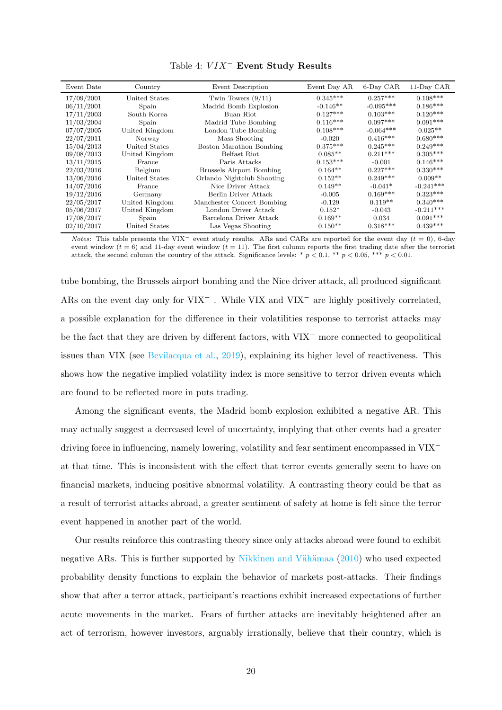| Event Date | Country        | Event Description               | Event Day AR | 6-Day CAR   | 11-Day CAR  |
|------------|----------------|---------------------------------|--------------|-------------|-------------|
| 17/09/2001 | United States  | Twin Towers $(9/11)$            | $0.345***$   | $0.257***$  | $0.108***$  |
| 06/11/2001 | Spain          | Madrid Bomb Explosion           | $-0.146**$   | $-0.095***$ | $0.186***$  |
| 17/11/2003 | South Korea    | Buan Riot                       | $0.127***$   | $0.103***$  | $0.120***$  |
| 11/03/2004 | Spain          | Madrid Tube Bombing             | $0.116***$   | $0.097***$  | $0.091***$  |
| 07/07/2005 | United Kingdom | London Tube Bombing             | $0.108***$   | $-0.064***$ | $0.025**$   |
| 22/07/2011 | Norway         | Mass Shooting                   | $-0.020$     | $0.416***$  | $0.680***$  |
| 15/04/2013 | United States  | Boston Marathon Bombing         | $0.375***$   | $0.245***$  | $0.249***$  |
| 09/08/2013 | United Kingdom | Belfast Riot                    | $0.085**$    | $0.211***$  | $0.305***$  |
| 13/11/2015 | France         | Paris Attacks                   | $0.153***$   | $-0.001$    | $0.146***$  |
| 22/03/2016 | Belgium        | <b>Brussels Airport Bombing</b> | $0.164**$    | $0.227***$  | $0.330***$  |
| 13/06/2016 | United States  | Orlando Nightclub Shooting      | $0.152**$    | $0.249***$  | $0.009**$   |
| 14/07/2016 | France         | Nice Driver Attack              | $0.149**$    | $-0.041*$   | $-0.241***$ |
| 19/12/2016 | Germany        | Berlin Driver Attack            | $-0.005$     | $0.169***$  | $0.323***$  |
| 22/05/2017 | United Kingdom | Manchester Concert Bombing      | $-0.129$     | $0.119**$   | $0.340***$  |
| 05/06/2017 | United Kingdom | London Driver Attack            | $0.152*$     | $-0.043$    | $-0.211***$ |
| 17/08/2017 | Spain          | Barcelona Driver Attack         | $0.169**$    | 0.034       | $0.091***$  |
| 02/10/2017 | United States  | Las Vegas Shooting              | $0.150**$    | $0.318***$  | $0.439***$  |

Table 4:  $VIX^-$  Event Study Results

*Notes*: This table presents the VIX<sup>-</sup> event study results. ARs and CARs are reported for the event day ( $t = 0$ ), 6-day event window ( $t = 6$ ) and 11-day event window ( $t = 11$ ). The first column reports the first trading date after the terrorist attack, the second column the country of the attack. Significance levels: \*  $p < 0.1$ , \*\*  $p < 0.05$ , \*\*\*  $p < 0.01$ .

tube bombing, the Brussels airport bombing and the Nice driver attack, all produced significant ARs on the event day only for VIX<sup>−</sup> . While VIX and VIX<sup>−</sup> are highly positively correlated, a possible explanation for the difference in their volatilities response to terrorist attacks may be the fact that they are driven by different factors, with VIX<sup>−</sup> more connected to geopolitical issues than VIX (see Bevilacqua et al., 2019), explaining its higher level of reactiveness. This shows how the negative implied volatility index is more sensitive to terror driven events which are found to be reflected more in puts trading.

Among the significant events, the Madrid bomb explosion exhibited a negative AR. This may actually suggest a decreased level of uncertainty, implying that other events had a greater driving force in influencing, namely lowering, volatility and fear sentiment encompassed in VIX<sup>−</sup> at that time. This is inconsistent with the effect that terror events generally seem to have on financial markets, inducing positive abnormal volatility. A contrasting theory could be that as a result of terrorist attacks abroad, a greater sentiment of safety at home is felt since the terror event happened in another part of the world.

Our results reinforce this contrasting theory since only attacks abroad were found to exhibit negative ARs. This is further supported by Nikkinen and Vähämaa  $(2010)$  who used expected probability density functions to explain the behavior of markets post-attacks. Their findings show that after a terror attack, participant's reactions exhibit increased expectations of further acute movements in the market. Fears of further attacks are inevitably heightened after an act of terrorism, however investors, arguably irrationally, believe that their country, which is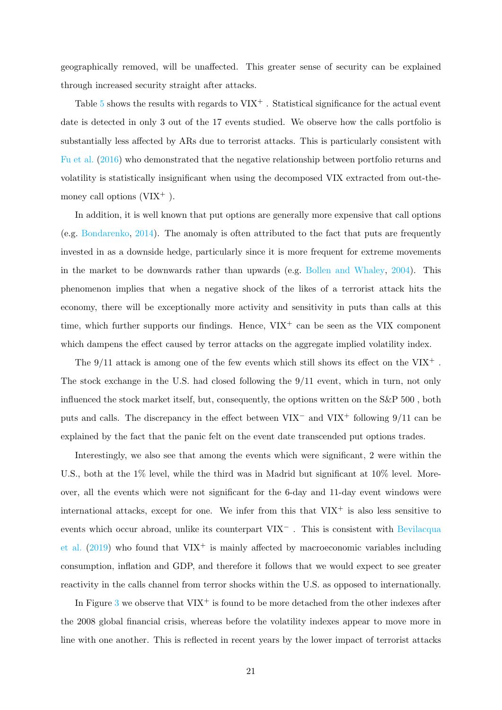geographically removed, will be unaffected. This greater sense of security can be explained through increased security straight after attacks.

Table  $5$  shows the results with regards to  $VIX^+$ . Statistical significance for the actual event date is detected in only 3 out of the 17 events studied. We observe how the calls portfolio is substantially less affected by ARs due to terrorist attacks. This is particularly consistent with Fu et al. (2016) who demonstrated that the negative relationship between portfolio returns and volatility is statistically insignificant when using the decomposed VIX extracted from out-themoney call options  $(VIX^+)$ .

In addition, it is well known that put options are generally more expensive that call options (e.g. Bondarenko, 2014). The anomaly is often attributed to the fact that puts are frequently invested in as a downside hedge, particularly since it is more frequent for extreme movements in the market to be downwards rather than upwards (e.g. Bollen and Whaley, 2004). This phenomenon implies that when a negative shock of the likes of a terrorist attack hits the economy, there will be exceptionally more activity and sensitivity in puts than calls at this time, which further supports our findings. Hence,  $VIX^+$  can be seen as the VIX component which dampens the effect caused by terror attacks on the aggregate implied volatility index.

The  $9/11$  attack is among one of the few events which still shows its effect on the VIX<sup>+</sup>. The stock exchange in the U.S. had closed following the 9/11 event, which in turn, not only influenced the stock market itself, but, consequently, the options written on the S&P 500 , both puts and calls. The discrepancy in the effect between VIX<sup>−</sup> and VIX<sup>+</sup> following 9/11 can be explained by the fact that the panic felt on the event date transcended put options trades.

Interestingly, we also see that among the events which were significant, 2 were within the U.S., both at the 1% level, while the third was in Madrid but significant at 10% level. Moreover, all the events which were not significant for the 6-day and 11-day event windows were international attacks, except for one. We infer from this that  $VIX^+$  is also less sensitive to events which occur abroad, unlike its counterpart VIX<sup>−</sup> . This is consistent with Bevilacqua et al.  $(2019)$  who found that  $VIX^+$  is mainly affected by macroeconomic variables including consumption, inflation and GDP, and therefore it follows that we would expect to see greater reactivity in the calls channel from terror shocks within the U.S. as opposed to internationally.

In Figure 3 we observe that  $VIX^+$  is found to be more detached from the other indexes after the 2008 global financial crisis, whereas before the volatility indexes appear to move more in line with one another. This is reflected in recent years by the lower impact of terrorist attacks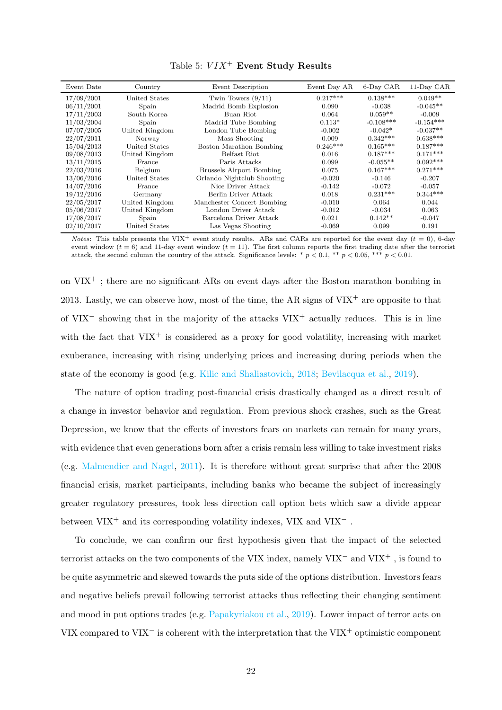| Event Date | Country        | Event Description               | Event Day AR | 6-Day CAR   | 11-Day CAR  |
|------------|----------------|---------------------------------|--------------|-------------|-------------|
| 17/09/2001 | United States  | Twin Towers $(9/11)$            | $0.217***$   | $0.138***$  | $0.049**$   |
| 06/11/2001 | Spain          | Madrid Bomb Explosion           | 0.090        | $-0.038$    | $-0.045**$  |
| 17/11/2003 | South Korea    | Buan Riot                       | 0.064        | $0.059**$   | $-0.009$    |
| 11/03/2004 | Spain          | Madrid Tube Bombing             | $0.113*$     | $-0.108***$ | $-0.154***$ |
| 07/07/2005 | United Kingdom | London Tube Bombing             | $-0.002$     | $-0.042*$   | $-0.037**$  |
| 22/07/2011 | Norway         | Mass Shooting                   | 0.009        | $0.342***$  | $0.638***$  |
| 15/04/2013 | United States  | Boston Marathon Bombing         | $0.246***$   | $0.165***$  | $0.187***$  |
| 09/08/2013 | United Kingdom | Belfast Riot                    | 0.016        | $0.187***$  | $0.171***$  |
| 13/11/2015 | France         | Paris Attacks                   | 0.099        | $-0.055**$  | $0.092***$  |
| 22/03/2016 | Belgium        | <b>Brussels Airport Bombing</b> | 0.075        | $0.167***$  | $0.271***$  |
| 13/06/2016 | United States  | Orlando Nightclub Shooting      | $-0.020$     | $-0.146$    | $-0.207$    |
| 14/07/2016 | France         | Nice Driver Attack              | $-0.142$     | $-0.072$    | $-0.057$    |
| 19/12/2016 | Germany        | Berlin Driver Attack            | 0.018        | $0.231***$  | $0.344***$  |
| 22/05/2017 | United Kingdom | Manchester Concert Bombing      | $-0.010$     | 0.064       | 0.044       |
| 05/06/2017 | United Kingdom | London Driver Attack            | $-0.012$     | $-0.034$    | 0.063       |
| 17/08/2017 | Spain          | Barcelona Driver Attack         | 0.021        | $0.142**$   | $-0.047$    |
| 02/10/2017 | United States  | Las Vegas Shooting              | $-0.069$     | 0.099       | 0.191       |

Table 5:  $VIX^+$  Event Study Results

Notes: This table presents the VIX<sup>+</sup> event study results. ARs and CARs are reported for the event day ( $t = 0$ ), 6-day event window  $(t = 6)$  and 11-day event window  $(t = 11)$ . The first column reports the first trading date after the terrorist attack, the second column the country of the attack. Significance levels: \*  $p < 0.1$ , \*\*  $p < 0.05$ , \*\*\*  $p < 0.01$ .

on  $VIX^+$ ; there are no significant ARs on event days after the Boston marathon bombing in 2013. Lastly, we can observe how, most of the time, the AR signs of  $VIX^+$  are opposite to that of VIX<sup>−</sup> showing that in the majority of the attacks VIX<sup>+</sup> actually reduces. This is in line with the fact that  $VIX^+$  is considered as a proxy for good volatility, increasing with market exuberance, increasing with rising underlying prices and increasing during periods when the state of the economy is good (e.g. Kilic and Shaliastovich, 2018; Bevilacqua et al., 2019).

The nature of option trading post-financial crisis drastically changed as a direct result of a change in investor behavior and regulation. From previous shock crashes, such as the Great Depression, we know that the effects of investors fears on markets can remain for many years, with evidence that even generations born after a crisis remain less willing to take investment risks (e.g. Malmendier and Nagel, 2011). It is therefore without great surprise that after the 2008 financial crisis, market participants, including banks who became the subject of increasingly greater regulatory pressures, took less direction call option bets which saw a divide appear between  $VIX^+$  and its corresponding volatility indexes,  $VIX$  and  $VIX^-$ .

To conclude, we can confirm our first hypothesis given that the impact of the selected terrorist attacks on the two components of the VIX index, namely VIX<sup>−</sup> and VIX<sup>+</sup> , is found to be quite asymmetric and skewed towards the puts side of the options distribution. Investors fears and negative beliefs prevail following terrorist attacks thus reflecting their changing sentiment and mood in put options trades (e.g. Papakyriakou et al., 2019). Lower impact of terror acts on VIX compared to VIX<sup>−</sup> is coherent with the interpretation that the VIX<sup>+</sup> optimistic component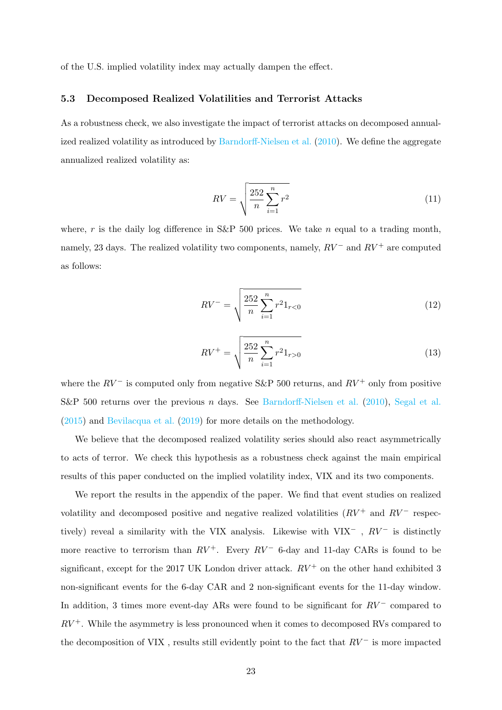of the U.S. implied volatility index may actually dampen the effect.

#### 5.3 Decomposed Realized Volatilities and Terrorist Attacks

As a robustness check, we also investigate the impact of terrorist attacks on decomposed annualized realized volatility as introduced by Barndorff-Nielsen et al. (2010). We define the aggregate annualized realized volatility as:

$$
RV = \sqrt{\frac{252}{n} \sum_{i=1}^{n} r^2}
$$
 (11)

where, r is the daily log difference in S&P 500 prices. We take n equal to a trading month, namely, 23 days. The realized volatility two components, namely,  $RV^-$  and  $RV^+$  are computed as follows:

$$
RV^{-} = \sqrt{\frac{252}{n} \sum_{i=1}^{n} r^{2} 1_{r<0}} \tag{12}
$$

$$
RV^{+} = \sqrt{\frac{252}{n} \sum_{i=1}^{n} r^{2} 1_{r>0}} \tag{13}
$$

where the  $RV^-$  is computed only from negative S&P 500 returns, and  $RV^+$  only from positive S&P 500 returns over the previous n days. See Barndorff-Nielsen et al. (2010), Segal et al. (2015) and Bevilacqua et al. (2019) for more details on the methodology.

We believe that the decomposed realized volatility series should also react asymmetrically to acts of terror. We check this hypothesis as a robustness check against the main empirical results of this paper conducted on the implied volatility index, VIX and its two components.

We report the results in the appendix of the paper. We find that event studies on realized volatility and decomposed positive and negative realized volatilities  $(RV^+$  and  $RV^-$  respectively) reveal a similarity with the VIX analysis. Likewise with VIX<sup>-</sup> ,  $RV^-$  is distinctly more reactive to terrorism than  $RV^+$ . Every  $RV^-$  6-day and 11-day CARs is found to be significant, except for the 2017 UK London driver attack.  $RV^+$  on the other hand exhibited 3 non-significant events for the 6-day CAR and 2 non-significant events for the 11-day window. In addition, 3 times more event-day ARs were found to be significant for  $RV^-$  compared to  $RV<sup>+</sup>$ . While the asymmetry is less pronounced when it comes to decomposed RVs compared to the decomposition of VIX, results still evidently point to the fact that  $RV^-$  is more impacted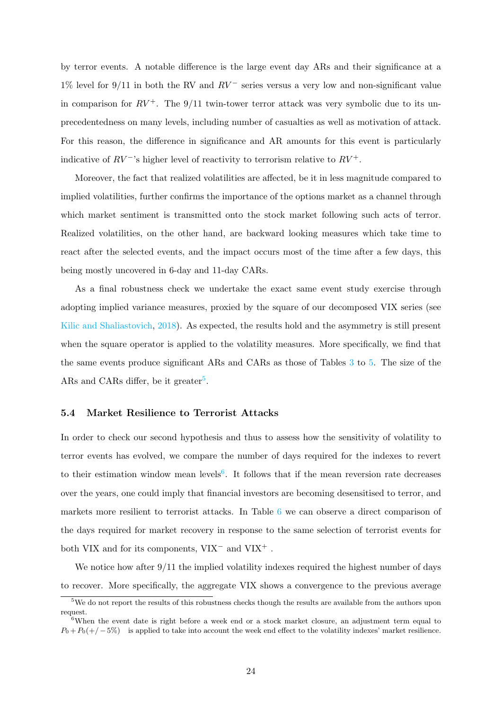by terror events. A notable difference is the large event day ARs and their significance at a  $1\%$  level for 9/11 in both the RV and  $RV^-$  series versus a very low and non-significant value in comparison for  $RV^+$ . The 9/11 twin-tower terror attack was very symbolic due to its unprecedentedness on many levels, including number of casualties as well as motivation of attack. For this reason, the difference in significance and AR amounts for this event is particularly indicative of  $RV^-$ 's higher level of reactivity to terrorism relative to  $RV^+$ .

Moreover, the fact that realized volatilities are affected, be it in less magnitude compared to implied volatilities, further confirms the importance of the options market as a channel through which market sentiment is transmitted onto the stock market following such acts of terror. Realized volatilities, on the other hand, are backward looking measures which take time to react after the selected events, and the impact occurs most of the time after a few days, this being mostly uncovered in 6-day and 11-day CARs.

As a final robustness check we undertake the exact same event study exercise through adopting implied variance measures, proxied by the square of our decomposed VIX series (see Kilic and Shaliastovich, 2018). As expected, the results hold and the asymmetry is still present when the square operator is applied to the volatility measures. More specifically, we find that the same events produce significant ARs and CARs as those of Tables 3 to 5. The size of the ARs and CARs differ, be it greater<sup>5</sup>.

#### 5.4 Market Resilience to Terrorist Attacks

In order to check our second hypothesis and thus to assess how the sensitivity of volatility to terror events has evolved, we compare the number of days required for the indexes to revert to their estimation window mean levels<sup>6</sup>. It follows that if the mean reversion rate decreases over the years, one could imply that financial investors are becoming desensitised to terror, and markets more resilient to terrorist attacks. In Table 6 we can observe a direct comparison of the days required for market recovery in response to the same selection of terrorist events for both VIX and for its components, VIX<sup>−</sup> and VIX<sup>+</sup> .

We notice how after 9/11 the implied volatility indexes required the highest number of days to recover. More specifically, the aggregate VIX shows a convergence to the previous average

<sup>&</sup>lt;sup>5</sup>We do not report the results of this robustness checks though the results are available from the authors upon request.

<sup>&</sup>lt;sup>6</sup>When the event date is right before a week end or a stock market closure, an adjustment term equal to  $P_0 + P_0(+/-5\%)$  is applied to take into account the week end effect to the volatility indexes' market resilience.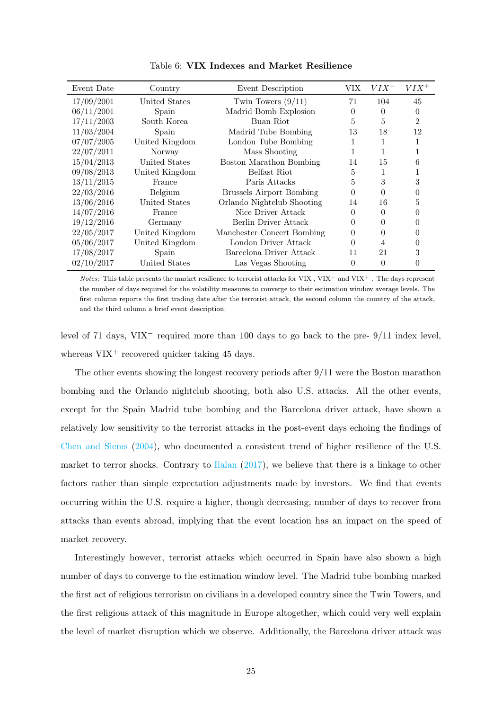| Event Date | Country        | Event Description               | VIX            | $VIX^-$  | $VIX^+$  |
|------------|----------------|---------------------------------|----------------|----------|----------|
| 17/09/2001 | United States  | Twin Towers $(9/11)$            | 71             | 104      | 45       |
| 06/11/2001 | Spain          | Madrid Bomb Explosion           | 0              | $\Omega$ | $\Omega$ |
| 17/11/2003 | South Korea    | Buan Riot                       | 5              | 5        | 2        |
| 11/03/2004 | Spain          | Madrid Tube Bombing             | 13             | 18       | 12       |
| 07/07/2005 | United Kingdom | London Tube Bombing             | 1              | 1        |          |
| 22/07/2011 | Norway         | Mass Shooting                   | 1              |          |          |
| 15/04/2013 | United States  | Boston Marathon Bombing         | 14             | 15       | 6        |
| 09/08/2013 | United Kingdom | Belfast Riot                    | 5              | 1        |          |
| 13/11/2015 | France         | Paris Attacks                   | 5              | 3        | 3        |
| 22/03/2016 | Belgium        | <b>Brussels Airport Bombing</b> | $\theta$       | $\Omega$ | 0        |
| 13/06/2016 | United States  | Orlando Nightclub Shooting      | 14             | 16       | 5        |
| 14/07/2016 | France         | Nice Driver Attack              | 0              | $\Omega$ | $\Omega$ |
| 19/12/2016 | Germany        | Berlin Driver Attack            | $\overline{0}$ | $\theta$ | 0        |
| 22/05/2017 | United Kingdom | Manchester Concert Bombing      | $\overline{0}$ | $\Omega$ | $\Omega$ |
| 05/06/2017 | United Kingdom | London Driver Attack            | $\theta$       | 4        | $\Omega$ |
| 17/08/2017 | Spain          | Barcelona Driver Attack         | 11             | 21       | 3        |
| 02/10/2017 | United States  | Las Vegas Shooting              | 0              | $\theta$ | $\Omega$ |

Table 6: VIX Indexes and Market Resilience

Notes: This table presents the market resilience to terrorist attacks for VIX , VIX<sup>−</sup> and VIX<sup>+</sup> . The days represent the number of days required for the volatility measures to converge to their estimation window average levels. The first column reports the first trading date after the terrorist attack, the second column the country of the attack, and the third column a brief event description.

level of 71 days, VIX<sup>−</sup> required more than 100 days to go back to the pre- 9/11 index level, whereas  $VIX^+$  recovered quicker taking 45 days.

The other events showing the longest recovery periods after 9/11 were the Boston marathon bombing and the Orlando nightclub shooting, both also U.S. attacks. All the other events, except for the Spain Madrid tube bombing and the Barcelona driver attack, have shown a relatively low sensitivity to the terrorist attacks in the post-event days echoing the findings of Chen and Siems (2004), who documented a consistent trend of higher resilience of the U.S. market to terror shocks. Contrary to Ilalan (2017), we believe that there is a linkage to other factors rather than simple expectation adjustments made by investors. We find that events occurring within the U.S. require a higher, though decreasing, number of days to recover from attacks than events abroad, implying that the event location has an impact on the speed of market recovery.

Interestingly however, terrorist attacks which occurred in Spain have also shown a high number of days to converge to the estimation window level. The Madrid tube bombing marked the first act of religious terrorism on civilians in a developed country since the Twin Towers, and the first religious attack of this magnitude in Europe altogether, which could very well explain the level of market disruption which we observe. Additionally, the Barcelona driver attack was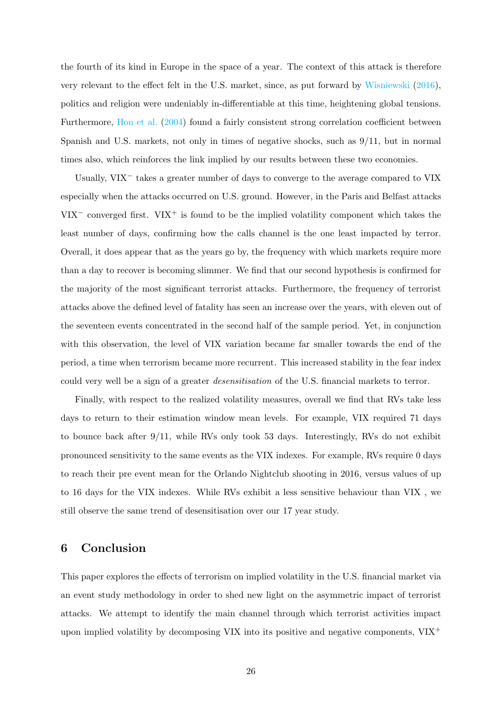the fourth of its kind in Europe in the space of a year. The context of this attack is therefore very relevant to the effect felt in the U.S. market, since, as put forward by Wisniewski (2016), politics and religion were undeniably in-differentiable at this time, heightening global tensions. Furthermore, Hon et al. (2004) found a fairly consistent strong correlation coefficient between Spanish and U.S. markets, not only in times of negative shocks, such as 9/11, but in normal times also, which reinforces the link implied by our results between these two economies.

Usually, VIX<sup>−</sup> takes a greater number of days to converge to the average compared to VIX especially when the attacks occurred on U.S. ground. However, in the Paris and Belfast attacks VIX<sup>-</sup> converged first. VIX<sup>+</sup> is found to be the implied volatility component which takes the least number of days, confirming how the calls channel is the one least impacted by terror. Overall, it does appear that as the years go by, the frequency with which markets require more than a day to recover is becoming slimmer. We find that our second hypothesis is confirmed for the majority of the most significant terrorist attacks. Furthermore, the frequency of terrorist attacks above the defined level of fatality has seen an increase over the years, with eleven out of the seventeen events concentrated in the second half of the sample period. Yet, in conjunction with this observation, the level of VIX variation became far smaller towards the end of the period, a time when terrorism became more recurrent. This increased stability in the fear index could very well be a sign of a greater desensitisation of the U.S. financial markets to terror.

Finally, with respect to the realized volatility measures, overall we find that RVs take less days to return to their estimation window mean levels. For example, VIX required 71 days to bounce back after 9/11, while RVs only took 53 days. Interestingly, RVs do not exhibit pronounced sensitivity to the same events as the VIX indexes. For example, RVs require 0 days to reach their pre event mean for the Orlando Nightclub shooting in 2016, versus values of up to 16 days for the VIX indexes. While RVs exhibit a less sensitive behaviour than VIX , we still observe the same trend of desensitisation over our 17 year study.

#### 6 Conclusion

This paper explores the effects of terrorism on implied volatility in the U.S. financial market via an event study methodology in order to shed new light on the asymmetric impact of terrorist attacks. We attempt to identify the main channel through which terrorist activities impact upon implied volatility by decomposing VIX into its positive and negative components,  $VIX^+$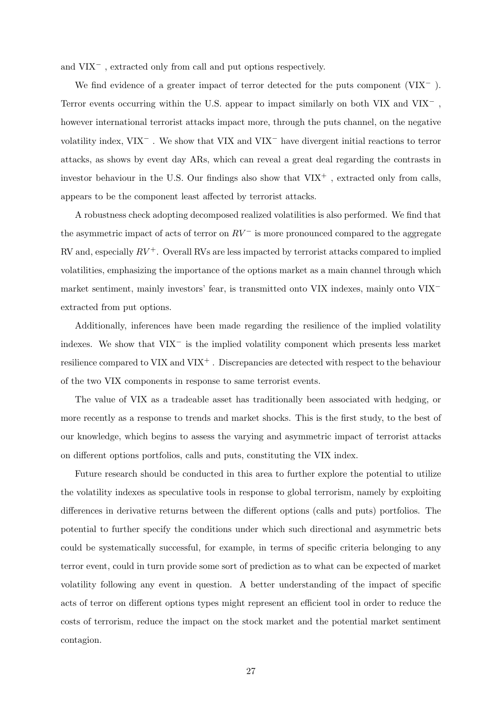and VIX<sup>−</sup> , extracted only from call and put options respectively.

We find evidence of a greater impact of terror detected for the puts component (VIX<sup>−</sup> ). Terror events occurring within the U.S. appear to impact similarly on both VIX and VIX<sup>−</sup>, however international terrorist attacks impact more, through the puts channel, on the negative volatility index, VIX<sup>−</sup> . We show that VIX and VIX<sup>−</sup> have divergent initial reactions to terror attacks, as shows by event day ARs, which can reveal a great deal regarding the contrasts in investor behaviour in the U.S. Our findings also show that  $VIX^{+}$ , extracted only from calls, appears to be the component least affected by terrorist attacks.

A robustness check adopting decomposed realized volatilities is also performed. We find that the asymmetric impact of acts of terror on  $RV^-$  is more pronounced compared to the aggregate RV and, especially  $RV^+$ . Overall RVs are less impacted by terrorist attacks compared to implied volatilities, emphasizing the importance of the options market as a main channel through which market sentiment, mainly investors' fear, is transmitted onto VIX indexes, mainly onto VIX<sup>−</sup> extracted from put options.

Additionally, inferences have been made regarding the resilience of the implied volatility indexes. We show that  $VIX^-$  is the implied volatility component which presents less market resilience compared to VIX and VIX<sup>+</sup>. Discrepancies are detected with respect to the behaviour of the two VIX components in response to same terrorist events.

The value of VIX as a tradeable asset has traditionally been associated with hedging, or more recently as a response to trends and market shocks. This is the first study, to the best of our knowledge, which begins to assess the varying and asymmetric impact of terrorist attacks on different options portfolios, calls and puts, constituting the VIX index.

Future research should be conducted in this area to further explore the potential to utilize the volatility indexes as speculative tools in response to global terrorism, namely by exploiting differences in derivative returns between the different options (calls and puts) portfolios. The potential to further specify the conditions under which such directional and asymmetric bets could be systematically successful, for example, in terms of specific criteria belonging to any terror event, could in turn provide some sort of prediction as to what can be expected of market volatility following any event in question. A better understanding of the impact of specific acts of terror on different options types might represent an efficient tool in order to reduce the costs of terrorism, reduce the impact on the stock market and the potential market sentiment contagion.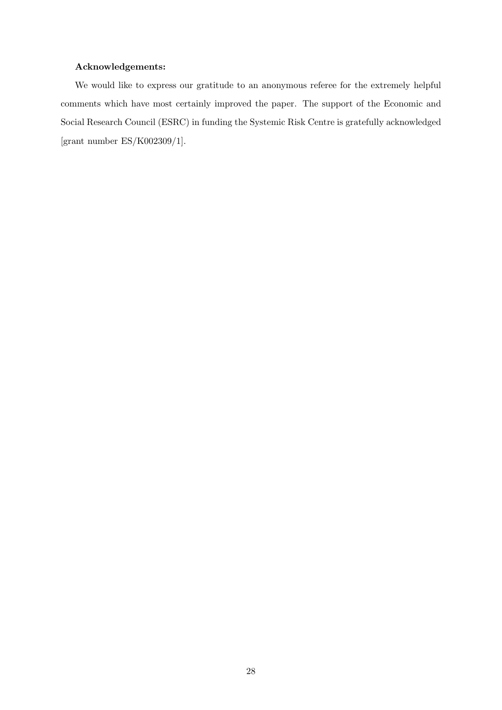#### Acknowledgements:

We would like to express our gratitude to an anonymous referee for the extremely helpful comments which have most certainly improved the paper. The support of the Economic and Social Research Council (ESRC) in funding the Systemic Risk Centre is gratefully acknowledged [grant number ES/K002309/1].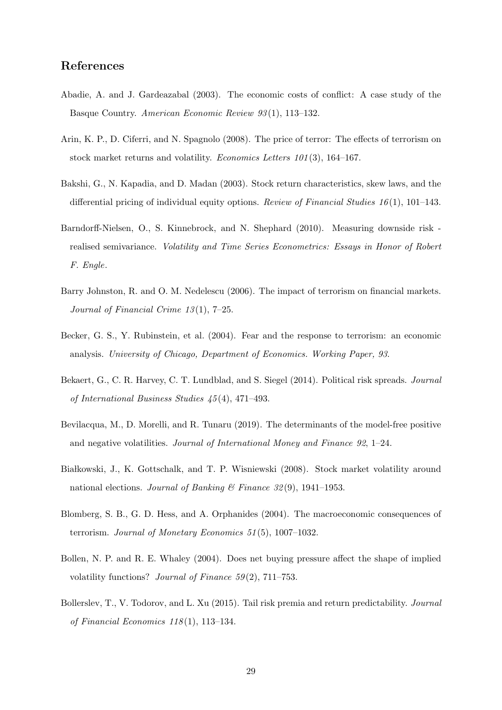### References

- Abadie, A. and J. Gardeazabal (2003). The economic costs of conflict: A case study of the Basque Country. American Economic Review 93 (1), 113–132.
- Arin, K. P., D. Ciferri, and N. Spagnolo (2008). The price of terror: The effects of terrorism on stock market returns and volatility. Economics Letters 101 (3), 164–167.
- Bakshi, G., N. Kapadia, and D. Madan (2003). Stock return characteristics, skew laws, and the differential pricing of individual equity options. Review of Financial Studies  $16(1)$ , 101–143.
- Barndorff-Nielsen, O., S. Kinnebrock, and N. Shephard (2010). Measuring downside risk realised semivariance. Volatility and Time Series Econometrics: Essays in Honor of Robert F. Engle.
- Barry Johnston, R. and O. M. Nedelescu (2006). The impact of terrorism on financial markets. Journal of Financial Crime 13 (1), 7–25.
- Becker, G. S., Y. Rubinstein, et al. (2004). Fear and the response to terrorism: an economic analysis. University of Chicago, Department of Economics. Working Paper, 93.
- Bekaert, G., C. R. Harvey, C. T. Lundblad, and S. Siegel (2014). Political risk spreads. Journal of International Business Studies 45 (4), 471–493.
- Bevilacqua, M., D. Morelli, and R. Tunaru (2019). The determinants of the model-free positive and negative volatilities. Journal of International Money and Finance 92, 1–24.
- Białkowski, J., K. Gottschalk, and T. P. Wisniewski (2008). Stock market volatility around national elections. Journal of Banking & Finance 32(9), 1941–1953.
- Blomberg, S. B., G. D. Hess, and A. Orphanides (2004). The macroeconomic consequences of terrorism. Journal of Monetary Economics 51 (5), 1007–1032.
- Bollen, N. P. and R. E. Whaley (2004). Does net buying pressure affect the shape of implied volatility functions? Journal of Finance  $59(2)$ , 711–753.
- Bollerslev, T., V. Todorov, and L. Xu (2015). Tail risk premia and return predictability. Journal of Financial Economics  $118(1)$ , 113-134.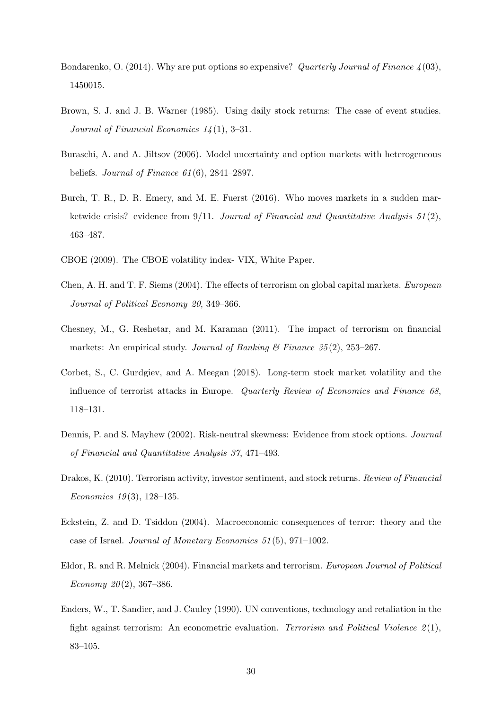- Bondarenko, O. (2014). Why are put options so expensive? Quarterly Journal of Finance  $\lambda(03)$ , 1450015.
- Brown, S. J. and J. B. Warner (1985). Using daily stock returns: The case of event studies. Journal of Financial Economics  $14(1)$ , 3-31.
- Buraschi, A. and A. Jiltsov (2006). Model uncertainty and option markets with heterogeneous beliefs. Journal of Finance  $61(6)$ , 2841–2897.
- Burch, T. R., D. R. Emery, and M. E. Fuerst (2016). Who moves markets in a sudden marketwide crisis? evidence from  $9/11$ . Journal of Financial and Quantitative Analysis  $51(2)$ , 463–487.
- CBOE (2009). The CBOE volatility index- VIX, White Paper.
- Chen, A. H. and T. F. Siems (2004). The effects of terrorism on global capital markets. European Journal of Political Economy 20, 349–366.
- Chesney, M., G. Reshetar, and M. Karaman (2011). The impact of terrorism on financial markets: An empirical study. Journal of Banking & Finance  $35(2)$ , 253–267.
- Corbet, S., C. Gurdgiev, and A. Meegan (2018). Long-term stock market volatility and the influence of terrorist attacks in Europe. Quarterly Review of Economics and Finance 68, 118–131.
- Dennis, P. and S. Mayhew (2002). Risk-neutral skewness: Evidence from stock options. Journal of Financial and Quantitative Analysis 37, 471–493.
- Drakos, K. (2010). Terrorism activity, investor sentiment, and stock returns. Review of Financial Economics  $19(3)$ , 128-135.
- Eckstein, Z. and D. Tsiddon (2004). Macroeconomic consequences of terror: theory and the case of Israel. Journal of Monetary Economics 51 (5), 971–1002.
- Eldor, R. and R. Melnick (2004). Financial markets and terrorism. European Journal of Political Economy 20(2), 367-386.
- Enders, W., T. Sandier, and J. Cauley (1990). UN conventions, technology and retaliation in the fight against terrorism: An econometric evaluation. Terrorism and Political Violence  $2(1)$ , 83–105.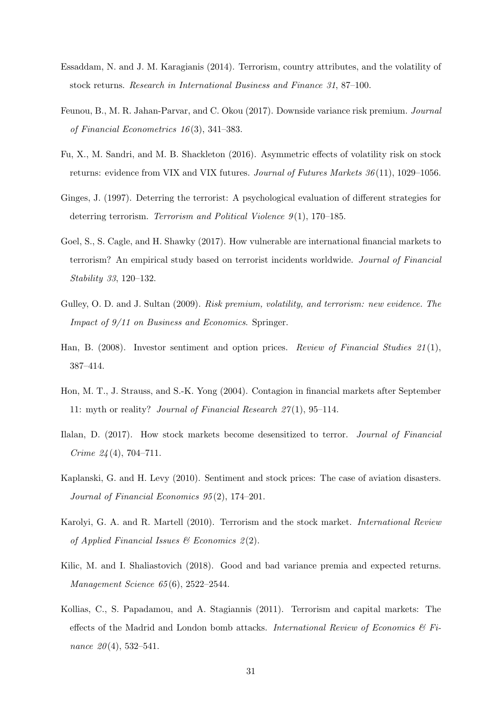- Essaddam, N. and J. M. Karagianis (2014). Terrorism, country attributes, and the volatility of stock returns. Research in International Business and Finance 31, 87–100.
- Feunou, B., M. R. Jahan-Parvar, and C. Okou (2017). Downside variance risk premium. Journal of Financial Econometrics 16 (3), 341–383.
- Fu, X., M. Sandri, and M. B. Shackleton (2016). Asymmetric effects of volatility risk on stock returns: evidence from VIX and VIX futures. Journal of Futures Markets 36 (11), 1029–1056.
- Ginges, J. (1997). Deterring the terrorist: A psychological evaluation of different strategies for deterring terrorism. Terrorism and Political Violence  $9(1)$ , 170–185.
- Goel, S., S. Cagle, and H. Shawky (2017). How vulnerable are international financial markets to terrorism? An empirical study based on terrorist incidents worldwide. Journal of Financial Stability 33, 120–132.
- Gulley, O. D. and J. Sultan (2009). Risk premium, volatility, and terrorism: new evidence. The Impact of 9/11 on Business and Economics. Springer.
- Han, B. (2008). Investor sentiment and option prices. Review of Financial Studies 21(1), 387–414.
- Hon, M. T., J. Strauss, and S.-K. Yong (2004). Contagion in financial markets after September 11: myth or reality? Journal of Financial Research 27 (1), 95–114.
- Ilalan, D. (2017). How stock markets become desensitized to terror. Journal of Financial Crime  $24(4)$ , 704–711.
- Kaplanski, G. and H. Levy (2010). Sentiment and stock prices: The case of aviation disasters. Journal of Financial Economics 95 (2), 174–201.
- Karolyi, G. A. and R. Martell (2010). Terrorism and the stock market. International Review of Applied Financial Issues  $\mathcal{B}$  Economics 2(2).
- Kilic, M. and I. Shaliastovich (2018). Good and bad variance premia and expected returns. Management Science 65 (6), 2522–2544.
- Kollias, C., S. Papadamou, and A. Stagiannis (2011). Terrorism and capital markets: The effects of the Madrid and London bomb attacks. International Review of Economics  $\mathcal{C}$  Finance  $20(4)$ , 532–541.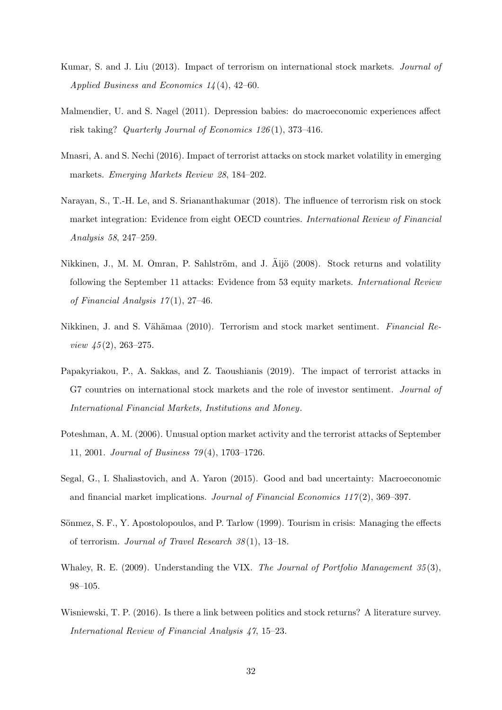- Kumar, S. and J. Liu (2013). Impact of terrorism on international stock markets. Journal of Applied Business and Economics 14 (4), 42–60.
- Malmendier, U. and S. Nagel (2011). Depression babies: do macroeconomic experiences affect risk taking? Quarterly Journal of Economics 126 (1), 373–416.
- Mnasri, A. and S. Nechi (2016). Impact of terrorist attacks on stock market volatility in emerging markets. Emerging Markets Review 28, 184–202.
- Narayan, S., T.-H. Le, and S. Sriananthakumar (2018). The influence of terrorism risk on stock market integration: Evidence from eight OECD countries. International Review of Financial Analysis 58, 247–259.
- Nikkinen, J., M. M. Omran, P. Sahlström, and J. Äijö (2008). Stock returns and volatility following the September 11 attacks: Evidence from 53 equity markets. International Review of Financial Analysis  $17(1)$ , 27-46.
- Nikkinen, J. and S. Vähämaa (2010). Terrorism and stock market sentiment. Financial Review  $\frac{45(2)}{263-275}$ .
- Papakyriakou, P., A. Sakkas, and Z. Taoushianis (2019). The impact of terrorist attacks in G7 countries on international stock markets and the role of investor sentiment. *Journal of* International Financial Markets, Institutions and Money.
- Poteshman, A. M. (2006). Unusual option market activity and the terrorist attacks of September 11, 2001. Journal of Business 79 (4), 1703–1726.
- Segal, G., I. Shaliastovich, and A. Yaron (2015). Good and bad uncertainty: Macroeconomic and financial market implications. Journal of Financial Economics  $117(2)$ , 369–397.
- Sönmez, S. F., Y. Apostolopoulos, and P. Tarlow (1999). Tourism in crisis: Managing the effects of terrorism. Journal of Travel Research 38 (1), 13–18.
- Whaley, R. E. (2009). Understanding the VIX. The Journal of Portfolio Management 35(3), 98–105.
- Wisniewski, T. P. (2016). Is there a link between politics and stock returns? A literature survey. International Review of Financial Analysis 47, 15–23.